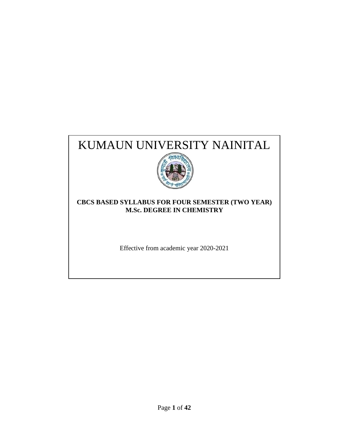# KUMAUN UNIVERSITY NAINITAL



## **CBCS BASED SYLLABUS FOR FOUR SEMESTER (TWO YEAR) M.Sc. DEGREE IN CHEMISTRY**

Effective from academic year 2020-2021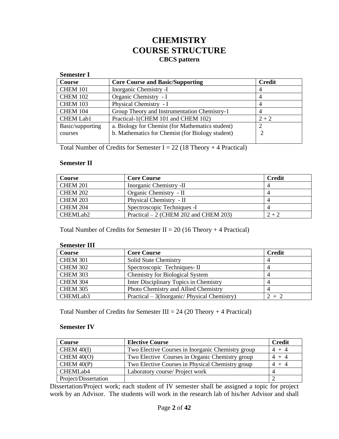## **CHEMISTRY COURSE STRUCTURE CBCS pattern**

#### **Semester I Course Core Course and Basic/Supporting Credit** CHEM 101 | Inorganic Chemistry -I | 4 CHEM 102 | Organic Chemistry - I | 4 CHEM 103 Physical Chemistry - I 4 CHEM 104 Group Theory and Instrumentation Chemistry-1 4 CHEM Lab1 Practical-1(CHEM 101 and CHEM 102)  $2+2$ Basic/supporting courses a. Biology for Chemist (for Mathematics student) b. Mathematics for Chemist (for Biology student) 2 2

Total Number of Credits for Semester I = 22 (18 Theory + 4 Practical)

#### **Semester II**

| Course               | <b>Core Course</b>                     | <b>Credit</b> |
|----------------------|----------------------------------------|---------------|
| <b>CHEM 201</b>      | Inorganic Chemistry -II                |               |
| <b>CHEM 202</b>      | Organic Chemistry - II                 |               |
| <b>CHEM 203</b>      | Physical Chemistry - II                |               |
| <b>CHEM 204</b>      | Spectroscopic Techniques -I            |               |
| CHEMLab <sub>2</sub> | Practical $-2$ (CHEM 202 and CHEM 203) | $2 + 2$       |

Total Number of Credits for Semester II = 20 (16 Theory + 4 Practical)

#### **Semester III**

| Course          | <b>Core Course</b>                           | <b>Credit</b> |
|-----------------|----------------------------------------------|---------------|
| <b>CHEM 301</b> | <b>Solid State Chemistry</b>                 |               |
| <b>CHEM 302</b> | Spectroscopic Techniques-II                  |               |
| <b>CHEM 303</b> | <b>Chemistry for Biological System</b>       |               |
| <b>CHEM 304</b> | Inter Disciplinary Topics in Chemistry       |               |
| <b>CHEM 305</b> | Photo Chemistry and Allied Chemistry         |               |
| CHEMLab3        | Practical – 3(Inorganic/ Physical Chemistry) | $2 + 2$       |

Total Number of Credits for Semester III =  $24$  (20 Theory + 4 Practical)

#### **Semester IV**

| <b>Course</b>        | <b>Elective Course</b>                            | Credit  |
|----------------------|---------------------------------------------------|---------|
| CHEM $40(I)$         | Two Elective Courses in Inorganic Chemistry group | $4 + 4$ |
| CHEM $40(0)$         | Two Elective Courses in Organic Chemistry group   | $4 + 4$ |
| CHEM $40(P)$         | Two Elective Courses in Physical Chemistry group  | $4 + 4$ |
| CHEMLab4             | Laboratory course/ Project work                   |         |
| Project/Dissertation |                                                   |         |

Dissertation/Project work; each student of IV semester shall be assigned a topic for project work by an Advisor. The students will work in the research lab of his/her Advisor and shall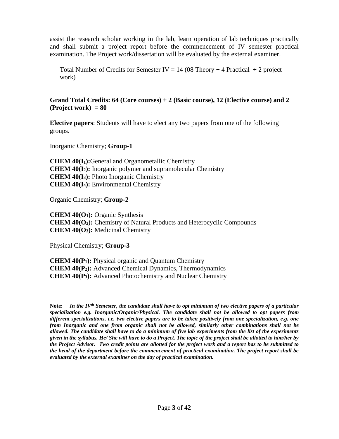assist the research scholar working in the lab, learn operation of lab techniques practically and shall submit a project report before the commencement of IV semester practical examination. The Project work/dissertation will be evaluated by the external examiner.

Total Number of Credits for Semester IV =  $14(08 \text{ Theory} + 4 \text{ Practical } + 2 \text{ project})$ work)

**Grand Total Credits: 64 (Core courses) + 2 (Basic course), 12 (Elective course) and 2 (Project work) = 80**

**Elective papers**: Students will have to elect any two papers from one of the following groups.

Inorganic Chemistry; **Group-1**

**CHEM 40(I1):**General and Organometallic Chemistry **CHEM 40(I2):** Inorganic polymer and supramolecular Chemistry **CHEM 40(I3):** Photo Inorganic Chemistry **CHEM 40(I4):** Environmental Chemistry

Organic Chemistry; **Group-2**

**CHEM 40(O1):** Organic Synthesis **CHEM 40(O2):** Chemistry of Natural Products and Heterocyclic Compounds **CHEM 40(O3):** Medicinal Chemistry

Physical Chemistry; **Group-3**

**CHEM 40(P1):** Physical organic and Quantum Chemistry **CHEM 40(P2):** Advanced Chemical Dynamics, Thermodynamics **CHEM 40(P3):** Advanced Photochemistry and Nuclear Chemistry

**Note:** *In the IVth Semester, the candidate shall have to opt minimum of two elective papers of a particular specialization e.g. Inorganic/Organic/Physical. The candidate shall not be allowed to opt papers from different specializations, i.e. two elective papers are to be taken positively from one specialization, e.g. one from Inorganic and one from organic shall not be allowed, similarly other combinations shall not be allowed. The candidate shall have to do a minimum of five lab experiments from the list of the experiments given in the syllabus. He/ She will have to do a Project. The topic of the project shall be allotted to him/her by the Project Advisor. Two credit points are allotted for the project work and a report has to be submitted to the head of the department before the commencement of practical examination. The project report shall be evaluated by the external examiner on the day of practical examination.*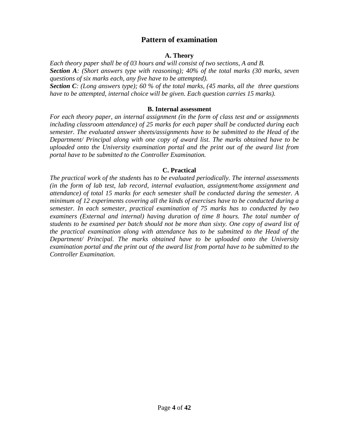## **Pattern of examination**

#### **A. Theory**

*Each theory paper shall be of 03 hours and will consist of two sections, A and B. Section A: (Short answers type with reasoning); 40% of the total marks (30 marks, seven questions of six marks each, any five have to be attempted). Section C: (Long answers type); 60 % of the total marks, (45 marks, all the three questions have to be attempted, internal choice will be given. Each question carries 15 marks).* 

#### **B. Internal assessment**

*For each theory paper, an internal assignment (in the form of class test and or assignments including classroom attendance) of 25 marks for each paper shall be conducted during each semester. The evaluated answer sheets/assignments have to be submitted to the Head of the Department/ Principal along with one copy of award list. The marks obtained have to be uploaded onto the University examination portal and the print out of the award list from portal have to be submitted to the Controller Examination.*

#### **C. Practical**

*The practical work of the students has to be evaluated periodically. The internal assessments (in the form of lab test, lab record, internal evaluation, assignment/home assignment and attendance) of total 15 marks for each semester shall be conducted during the semester. A minimum of 12 experiments covering all the kinds of exercises have to be conducted during a semester. In each semester, practical examination of 75 marks has to conducted by two examiners (External and internal) having duration of time 8 hours. The total number of students to be examined per batch should not be more than sixty. One copy of award list of the practical examination along with attendance has to be submitted to the Head of the Department/ Principal. The marks obtained have to be uploaded onto the University examination portal and the print out of the award list from portal have to be submitted to the Controller Examination.*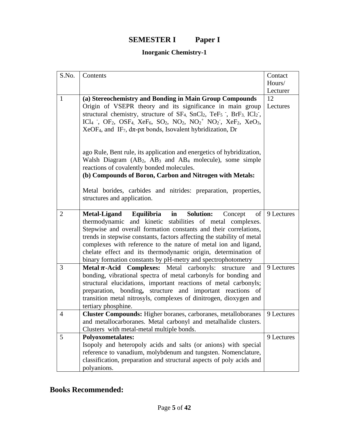## **SEMESTER I Paper I**

## **Inorganic Chemistry-1**

| S.No.                    | Contents                                                                                                                                                                                                                                                                                                                                                                                                                                                                                                                                                                                                                                                                                                                                                                                                                                                                                                                                                                                                                 | Contact                  |
|--------------------------|--------------------------------------------------------------------------------------------------------------------------------------------------------------------------------------------------------------------------------------------------------------------------------------------------------------------------------------------------------------------------------------------------------------------------------------------------------------------------------------------------------------------------------------------------------------------------------------------------------------------------------------------------------------------------------------------------------------------------------------------------------------------------------------------------------------------------------------------------------------------------------------------------------------------------------------------------------------------------------------------------------------------------|--------------------------|
|                          |                                                                                                                                                                                                                                                                                                                                                                                                                                                                                                                                                                                                                                                                                                                                                                                                                                                                                                                                                                                                                          | Hours/                   |
|                          |                                                                                                                                                                                                                                                                                                                                                                                                                                                                                                                                                                                                                                                                                                                                                                                                                                                                                                                                                                                                                          | Lecturer                 |
| $\mathbf{1}$             | (a) Stereochemistry and Bonding in Main Group Compounds                                                                                                                                                                                                                                                                                                                                                                                                                                                                                                                                                                                                                                                                                                                                                                                                                                                                                                                                                                  | 12                       |
|                          | Origin of VSEPR theory and its significance in main group                                                                                                                                                                                                                                                                                                                                                                                                                                                                                                                                                                                                                                                                                                                                                                                                                                                                                                                                                                | Lectures                 |
|                          | structural chemistry, structure of $SF_4$ , $SnCl_2$ , $TeF_5$ , $BrF_3$ , $ICl_2$ ,                                                                                                                                                                                                                                                                                                                                                                                                                                                                                                                                                                                                                                                                                                                                                                                                                                                                                                                                     |                          |
|                          | ICl <sub>4</sub> , OF <sub>2</sub> , OSF <sub>4</sub> , XeF <sub>6</sub> , SO <sub>2</sub> , NO <sub>2</sub> , NO <sub>2</sub> <sup>+</sup> NO <sub>2</sub> , XeF <sub>2</sub> , XeO <sub>3</sub> ,                                                                                                                                                                                                                                                                                                                                                                                                                                                                                                                                                                                                                                                                                                                                                                                                                      |                          |
|                          | $XeOF4$ , and IF <sub>7</sub> , $d\pi$ -p $\pi$ bonds, Isovalent hybridization, Dr                                                                                                                                                                                                                                                                                                                                                                                                                                                                                                                                                                                                                                                                                                                                                                                                                                                                                                                                       |                          |
|                          |                                                                                                                                                                                                                                                                                                                                                                                                                                                                                                                                                                                                                                                                                                                                                                                                                                                                                                                                                                                                                          |                          |
|                          | ago Rule, Bent rule, its application and energetics of hybridization,                                                                                                                                                                                                                                                                                                                                                                                                                                                                                                                                                                                                                                                                                                                                                                                                                                                                                                                                                    |                          |
|                          | Walsh Diagram $(AB_2, AB_3$ and $AB_4$ molecule), some simple                                                                                                                                                                                                                                                                                                                                                                                                                                                                                                                                                                                                                                                                                                                                                                                                                                                                                                                                                            |                          |
|                          | reactions of covalently bonded molecules.                                                                                                                                                                                                                                                                                                                                                                                                                                                                                                                                                                                                                                                                                                                                                                                                                                                                                                                                                                                |                          |
|                          | (b) Compounds of Boron, Carbon and Nitrogen with Metals:                                                                                                                                                                                                                                                                                                                                                                                                                                                                                                                                                                                                                                                                                                                                                                                                                                                                                                                                                                 |                          |
|                          |                                                                                                                                                                                                                                                                                                                                                                                                                                                                                                                                                                                                                                                                                                                                                                                                                                                                                                                                                                                                                          |                          |
|                          | Metal borides, carbides and nitrides: preparation, properties,                                                                                                                                                                                                                                                                                                                                                                                                                                                                                                                                                                                                                                                                                                                                                                                                                                                                                                                                                           |                          |
|                          | structures and application.                                                                                                                                                                                                                                                                                                                                                                                                                                                                                                                                                                                                                                                                                                                                                                                                                                                                                                                                                                                              |                          |
|                          |                                                                                                                                                                                                                                                                                                                                                                                                                                                                                                                                                                                                                                                                                                                                                                                                                                                                                                                                                                                                                          |                          |
| 2                        | Equilibria<br><b>Solution:</b><br><b>Metal-Ligand</b><br>in<br>Concept<br>of                                                                                                                                                                                                                                                                                                                                                                                                                                                                                                                                                                                                                                                                                                                                                                                                                                                                                                                                             | 9 Lectures               |
|                          | thermodynamic and kinetic stabilities of metal complexes.                                                                                                                                                                                                                                                                                                                                                                                                                                                                                                                                                                                                                                                                                                                                                                                                                                                                                                                                                                |                          |
|                          |                                                                                                                                                                                                                                                                                                                                                                                                                                                                                                                                                                                                                                                                                                                                                                                                                                                                                                                                                                                                                          |                          |
|                          |                                                                                                                                                                                                                                                                                                                                                                                                                                                                                                                                                                                                                                                                                                                                                                                                                                                                                                                                                                                                                          |                          |
|                          |                                                                                                                                                                                                                                                                                                                                                                                                                                                                                                                                                                                                                                                                                                                                                                                                                                                                                                                                                                                                                          |                          |
|                          |                                                                                                                                                                                                                                                                                                                                                                                                                                                                                                                                                                                                                                                                                                                                                                                                                                                                                                                                                                                                                          |                          |
|                          |                                                                                                                                                                                                                                                                                                                                                                                                                                                                                                                                                                                                                                                                                                                                                                                                                                                                                                                                                                                                                          |                          |
|                          |                                                                                                                                                                                                                                                                                                                                                                                                                                                                                                                                                                                                                                                                                                                                                                                                                                                                                                                                                                                                                          |                          |
|                          | structural elucidations, important reactions of metal carbonyls;                                                                                                                                                                                                                                                                                                                                                                                                                                                                                                                                                                                                                                                                                                                                                                                                                                                                                                                                                         |                          |
|                          | preparation, bonding, structure and important reactions of                                                                                                                                                                                                                                                                                                                                                                                                                                                                                                                                                                                                                                                                                                                                                                                                                                                                                                                                                               |                          |
|                          |                                                                                                                                                                                                                                                                                                                                                                                                                                                                                                                                                                                                                                                                                                                                                                                                                                                                                                                                                                                                                          |                          |
|                          | tertiary phosphine.                                                                                                                                                                                                                                                                                                                                                                                                                                                                                                                                                                                                                                                                                                                                                                                                                                                                                                                                                                                                      |                          |
|                          |                                                                                                                                                                                                                                                                                                                                                                                                                                                                                                                                                                                                                                                                                                                                                                                                                                                                                                                                                                                                                          | 9 Lectures               |
|                          |                                                                                                                                                                                                                                                                                                                                                                                                                                                                                                                                                                                                                                                                                                                                                                                                                                                                                                                                                                                                                          |                          |
|                          |                                                                                                                                                                                                                                                                                                                                                                                                                                                                                                                                                                                                                                                                                                                                                                                                                                                                                                                                                                                                                          |                          |
|                          |                                                                                                                                                                                                                                                                                                                                                                                                                                                                                                                                                                                                                                                                                                                                                                                                                                                                                                                                                                                                                          |                          |
|                          |                                                                                                                                                                                                                                                                                                                                                                                                                                                                                                                                                                                                                                                                                                                                                                                                                                                                                                                                                                                                                          |                          |
|                          |                                                                                                                                                                                                                                                                                                                                                                                                                                                                                                                                                                                                                                                                                                                                                                                                                                                                                                                                                                                                                          |                          |
|                          |                                                                                                                                                                                                                                                                                                                                                                                                                                                                                                                                                                                                                                                                                                                                                                                                                                                                                                                                                                                                                          |                          |
| 3<br>$\overline{4}$<br>5 | Stepwise and overall formation constants and their correlations,<br>trends in stepwise constants, factors affecting the stability of metal<br>complexes with reference to the nature of metal ion and ligand,<br>chelate effect and its thermodynamic origin, determination of<br>binary formation constants by pH-metry and spectrophotometry<br><b>Metal <math>\pi</math>-Acid Complexes:</b> Metal carbonyls: structure<br>and<br>bonding, vibrational spectra of metal carbonyls for bonding and<br>transition metal nitrosyls, complexes of dinitrogen, dioxygen and<br><b>Cluster Compounds:</b> Higher boranes, carboranes, metalloboranes<br>and metallocarboranes. Metal carbonyl and metalhalide clusters.<br>Clusters with metal-metal multiple bonds.<br><b>Polyoxometalates:</b><br>Isopoly and heteropoly acids and salts (or anions) with special<br>reference to vanadium, molybdenum and tungsten. Nomenclature,<br>classification, preparation and structural aspects of poly acids and<br>polyanions. | 9 Lectures<br>9 Lectures |

## **Books Recommended:**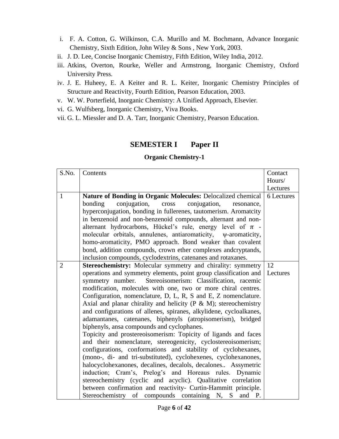- i. F. A. Cotton, G. Wilkinson, C.A. Murillo and M. Bochmann, Advance Inorganic Chemistry, Sixth Edition, John Wiley & Sons , New York, 2003.
- ii. J. D. Lee, Concise Inorganic Chemistry, Fifth Edition, Wiley India, 2012.
- iii. Atkins, Overton, Rourke, Weller and Armstrong, Inorganic Chemistry, Oxford University Press.
- iv. J. E. Huheey, E. A Keiter and R. L. Keiter, Inorganic Chemistry Principles of Structure and Reactivity, Fourth Edition, Pearson Education, 2003.
- v. W. W. Porterfield, Inorganic Chemistry: A Unified Approach, Elsevier.
- vi. G. Wulfsberg, Inorganic Chemistry, Viva Books.
- vii. G. L. Miessler and D. A. Tarr, Inorganic Chemistry, Pearson Education.

## **SEMESTER I Paper II**

## **Organic Chemistry-1**

| S.No.          | Contents                                                                                                                                | Contact    |
|----------------|-----------------------------------------------------------------------------------------------------------------------------------------|------------|
|                |                                                                                                                                         | Hours/     |
|                |                                                                                                                                         | Lectures   |
| $\mathbf{1}$   | Nature of Bonding in Organic Molecules: Delocalized chemical<br>conjugation,<br>conjugation,<br>bonding<br>cross<br>resonance,          | 6 Lectures |
|                | hyperconjugation, bonding in fullerenes, tautomerism. Aromatcity                                                                        |            |
|                | in benzenoid and non-benzenoid compounds, alternant and non-                                                                            |            |
|                | alternant hydrocarbons, Hückel's rule, energy level of $\pi$ -                                                                          |            |
|                | molecular orbitals, annulenes, antiaromaticity, <i>w</i> -aromaticity,                                                                  |            |
|                | homo-aromaticity, PMO approach. Bond weaker than covalent                                                                               |            |
|                | bond, addition compounds, crown ether complexes andcryptands,                                                                           |            |
|                | inclusion compounds, cyclodextrins, catenanes and rotaxanes.                                                                            |            |
| $\overline{2}$ | Stereochemistry: Molecular symmetry and chirality: symmetry                                                                             | 12         |
|                | operations and symmetry elements, point group classification and                                                                        | Lectures   |
|                | symmetry number. Stereoisomerism: Classification, racemic                                                                               |            |
|                | modification, molecules with one, two or more chiral centres.                                                                           |            |
|                | Configuration, nomenclature, D, L, R, S and E, Z nomenclature.<br>Axial and planar chirality and helicity ( $P \& M$ ); stereochemistry |            |
|                | and configurations of allenes, spiranes, alkylidene, cycloalkanes,                                                                      |            |
|                | adamantanes, catenanes, biphenyls (atropisomerism), bridged                                                                             |            |
|                | biphenyls, ansa compounds and cyclophanes.                                                                                              |            |
|                | Topicity and prostereoisomerism: Topicity of ligands and faces                                                                          |            |
|                | and their nomenclature, stereogenicity, cyclostereoisomerism;                                                                           |            |
|                | configurations, conformations and stability of cyclohexanes,                                                                            |            |
|                | (mono-, di- and tri-substituted), cyclohexenes, cyclohexanones,                                                                         |            |
|                | halocyclohexanones, decalines, decalols, decalones Assymetric                                                                           |            |
|                | induction; Cram's, Prelog's and Horeaus rules. Dynamic                                                                                  |            |
|                | stereochemistry (cyclic and acyclic). Qualitative correlation                                                                           |            |
|                | between confirmation and reactivity- Curtin-Hammitt principle.                                                                          |            |
|                | Stereochemistry of compounds containing N, S<br>and P.                                                                                  |            |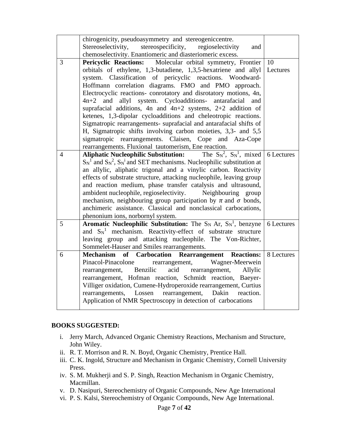|                | chirogenicity, pseudoasymmetry and stereogeniccentre.<br>Stereoselectivity, stereospecificity, regioselectivity<br>and       |               |
|----------------|------------------------------------------------------------------------------------------------------------------------------|---------------|
|                | chemoselectivity. Enantiomeric and diasteriomeric excess.                                                                    |               |
| $\overline{3}$ | Pericyclic Reactions: Molecular orbital symmetry, Frontier                                                                   | <sup>10</sup> |
|                | orbitals of ethylene, 1,3-butadiene, 1,3,5-hexatriene and allyl                                                              | Lectures      |
|                | system. Classification of pericyclic reactions. Woodward-                                                                    |               |
|                | Hoffmann correlation diagrams. FMO and PMO approach.                                                                         |               |
|                | Electrocyclic reactions- conrotatory and disrotatory motions, 4n,                                                            |               |
|                | and allyl system. Cycloadditions- antarafacial<br>$4n+2$<br>and                                                              |               |
|                | suprafacial additions, 4n and $4n+2$ systems, 2+2 addition of                                                                |               |
|                | ketenes, 1,3-dipolar cycloadditions and cheleotropic reactions.                                                              |               |
|                | Sigmatropic rearrangements- suprafacial and antarafacial shifts of                                                           |               |
|                | H, Sigmatropic shifts involving carbon moieties, 3,3- and 5,5                                                                |               |
|                | sigmatropic rearrangements. Claisen, Cope and Aza-Cope                                                                       |               |
|                | rearrangements. Fluxional tautomerism, Ene reaction.                                                                         |               |
| 4              | <b>Aliphatic Nucleophilic Substitution:</b> The $S_N^2$ , $S_N^1$ , mixed 6 Lectures                                         |               |
|                | $\text{S}_{N}^{1}$ and $\text{S}_{N}^{2}$ , $\text{S}_{N}^{i}$ and SET mechanisms. Nucleophilic substitution at              |               |
|                | an allylic, aliphatic trigonal and a vinylic carbon. Reactivity                                                              |               |
|                | effects of substrate structure, attacking nucleophile, leaving group                                                         |               |
|                | and reaction medium, phase transfer catalysis and ultrasound,                                                                |               |
|                | ambident nucleophile, regioselectivity. Neighbouring group                                                                   |               |
|                | mechanism, neighbouring group participation by $\pi$ and $\sigma$ bonds,                                                     |               |
|                | anchimeric assistance. Classical and nonclassical carbocations,                                                              |               |
|                | phenonium ions, norbornyl system.                                                                                            |               |
| 5              | <b>Aromatic Nucleophilic Substitution:</b> The $S_N$ Ar, $S_N^1$ , benzyne                                                   | 6 Lectures    |
|                | and $S_N^1$ mechanism. Reactivity-effect of substrate structure                                                              |               |
|                | leaving group and attacking nucleophile. The Von-Richter,                                                                    |               |
|                | Sommelet-Hauser and Smiles rearrangements.                                                                                   |               |
| 6              | Mechanism of Carbocation Rearrangement Reactions:                                                                            | 8 Lectures    |
|                | Pinacol-Pinacolone rearrangement, Wagner-Meerwein                                                                            |               |
|                | rearrangement, Benzilic<br>acid rearrangement, Allylic                                                                       |               |
|                | rearrangement, Hofman reaction, Schmidt reaction, Baeyer-<br>Villiger oxidation, Cumene-Hydroperoxide rearrangement, Curtius |               |
|                | Dakin<br>Lossen<br>rearrangement,<br>reaction.<br>rearrangements,                                                            |               |
|                | Application of NMR Spectroscopy in detection of carbocations                                                                 |               |
|                |                                                                                                                              |               |

#### **BOOKS SUGGESTED:**

- i. Jerry March, Advanced Organic Chemistry Reactions, Mechanism and Structure, John Wiley.
- ii. R. T. Morrison and R. N. Boyd, Organic Chemistry, Prentice Hall.
- iii. C. K. Ingold, Structure and Mechanism in Organic Chemistry, Cornell University Press.
- iv. S. M. Mukherji and S. P. Singh, Reaction Mechanism in Organic Chemistry, Macmillan.
- v. D. Nasipuri, Stereochemistry of Organic Compounds, New Age International
- vi. P. S. Kalsi, Stereochemistry of Organic Compounds, New Age International.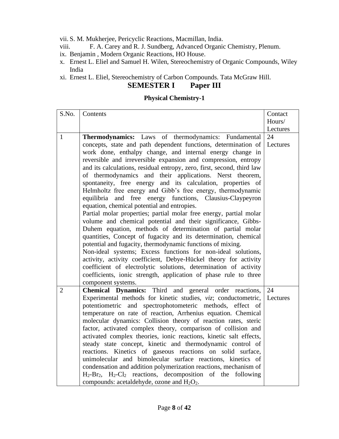vii. S. M. Mukherjee, Pericyclic Reactions, Macmillan, India.

- viii. F. A. Carey and R. J. Sundberg, Advanced Organic Chemistry, Plenum.
- ix. Benjamin , Modern Organic Reactions, HO House.
- x. Ernest L. Eliel and Samuel H. Wilen, Stereochemistry of Organic Compounds, Wiley India
- xi. Ernest L. Eliel, Stereochemistry of Carbon Compounds. Tata McGraw Hill.

## **SEMESTER I Paper III**

## **Physical Chemistry-1**

| S.No.          | Contents                                                                                                                   | Contact  |
|----------------|----------------------------------------------------------------------------------------------------------------------------|----------|
|                |                                                                                                                            | Hours/   |
|                |                                                                                                                            | Lectures |
| $\mathbf{1}$   | Thermodynamics: Laws of thermodynamics: Fundamental                                                                        | 24       |
|                | concepts, state and path dependent functions, determination of                                                             | Lectures |
|                | work done, enthalpy change, and internal energy change in                                                                  |          |
|                | reversible and irreversible expansion and compression, entropy                                                             |          |
|                | and its calculations, residual entropy, zero, first, second, third law                                                     |          |
|                | of thermodynamics and their applications. Nerst theorem,                                                                   |          |
|                | spontaneity, free energy and its calculation, properties of                                                                |          |
|                | Helmholtz free energy and Gibb's free energy, thermodynamic                                                                |          |
|                | and free energy functions, Clausius-Claypeyron<br>equilibria                                                               |          |
|                | equation, chemical potential and entropies.                                                                                |          |
|                | Partial molar properties; partial molar free energy, partial molar                                                         |          |
|                | volume and chemical potential and their significance, Gibbs-                                                               |          |
|                | Duhem equation, methods of determination of partial molar                                                                  |          |
|                | quantities, Concept of fugacity and its determination, chemical                                                            |          |
|                | potential and fugacity, thermodynamic functions of mixing.<br>Non-ideal systems; Excess functions for non-ideal solutions, |          |
|                | activity, activity coefficient, Debye-Hückel theory for activity                                                           |          |
|                | coefficient of electrolytic solutions, determination of activity                                                           |          |
|                | coefficients, ionic strength, application of phase rule to three                                                           |          |
|                | component systems.                                                                                                         |          |
| $\overline{2}$ | Chemical Dynamics: Third and general order reactions,                                                                      | 24       |
|                | Experimental methods for kinetic studies, viz; conductometric,                                                             | Lectures |
|                | potentiometric and spectrophotometeric methods, effect of                                                                  |          |
|                | temperature on rate of reaction, Arrhenius equation. Chemical                                                              |          |
|                | molecular dynamics: Collision theory of reaction rates, steric                                                             |          |
|                | factor, activated complex theory, comparison of collision and                                                              |          |
|                | activated complex theories, ionic reactions, kinetic salt effects,                                                         |          |
|                | steady state concept, kinetic and thermodynamic control of                                                                 |          |
|                | reactions. Kinetics of gaseous reactions on solid surface,                                                                 |          |
|                | unimolecular and bimolecular surface reactions, kinetics of                                                                |          |
|                | condensation and addition polymerization reactions, mechanism of                                                           |          |
|                | $H_2-Br_2$ , $H_2-Cl_2$ reactions, decomposition of the following                                                          |          |
|                | compounds: acetaldehyde, ozone and $H_2O_2$ .                                                                              |          |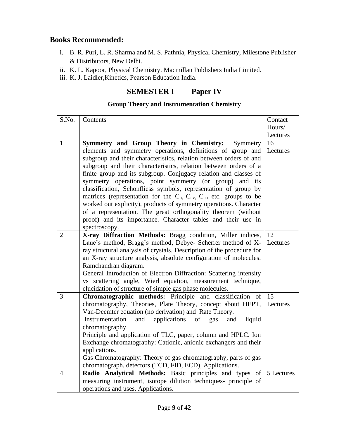## **Books Recommended:**

- i. B. R. Puri, L. R. Sharma and M. S. Pathnia, Physical Chemistry, Milestone Publisher & Distributors, New Delhi.
- ii. K. L. Kapoor, Physical Chemistry. Macmillan Publishers India Limited.
- iii. K. J. Laidler,Kinetics, Pearson Education India.

## **SEMESTER I Paper IV**

## **Group Theory and Instrumentation Chemistry**

| S.No.          | Contents                                                                                                                          | Contact    |
|----------------|-----------------------------------------------------------------------------------------------------------------------------------|------------|
|                |                                                                                                                                   | Hours/     |
|                |                                                                                                                                   | Lectures   |
| $\mathbf{1}$   | Symmetry and Group Theory in Chemistry:<br>Symmetry                                                                               | 16         |
|                | elements and symmetry operations, definitions of group and                                                                        | Lectures   |
|                | subgroup and their characteristics, relation between orders of and                                                                |            |
|                | subgroup and their characteristics, relation between orders of a                                                                  |            |
|                | finite group and its subgroup. Conjugacy relation and classes of                                                                  |            |
|                | symmetry operations, point symmetry (or group) and<br>its                                                                         |            |
|                | classification, Schonfliess symbols, representation of group by                                                                   |            |
|                | matrices (representation for the C <sub>n</sub> , C <sub>nv</sub> , C <sub>nh</sub> etc. groups to be                             |            |
|                | worked out explicity), products of symmetry operations. Character                                                                 |            |
|                | of a representation. The great orthogonality theorem (without                                                                     |            |
|                | proof) and its importance. Character tables and their use in                                                                      |            |
|                | spectroscopy.                                                                                                                     |            |
| $\overline{2}$ | X-ray Diffraction Methods: Bragg condition, Miller indices,                                                                       | 12         |
|                | Laue's method, Bragg's method, Debye- Scherrer method of X-                                                                       | Lectures   |
|                | ray structural analysis of crystals. Description of the procedure for                                                             |            |
|                | an X-ray structure analysis, absolute configuration of molecules.                                                                 |            |
|                | Ramchandran diagram.                                                                                                              |            |
|                | General Introduction of Electron Diffraction: Scattering intensity<br>vs scattering angle, Wierl equation, measurement technique, |            |
|                | elucidation of structure of simple gas phase molecules.                                                                           |            |
| 3              | Chromatographic methods: Principle and classification<br>of                                                                       | 15         |
|                | chromatography, Theories, Plate Theory, concept about HEPT,                                                                       | Lectures   |
|                | Van-Deemter equation (no derivation) and Rate Theory.                                                                             |            |
|                | Instrumentation<br>applications<br>and<br>liquid<br>of<br>gas<br>and                                                              |            |
|                | chromatography.                                                                                                                   |            |
|                | Principle and application of TLC, paper, column and HPLC. Ion                                                                     |            |
|                | Exchange chromatography: Cationic, anionic exchangers and their                                                                   |            |
|                | applications.                                                                                                                     |            |
|                | Gas Chromatography: Theory of gas chromatography, parts of gas                                                                    |            |
|                | chromatograph, detectors (TCD, FID, ECD), Applications.                                                                           |            |
| $\overline{4}$ | Radio Analytical Methods: Basic principles and types of                                                                           | 5 Lectures |
|                | measuring instrument, isotope dilution techniques- principle of                                                                   |            |
|                | operations and uses. Applications.                                                                                                |            |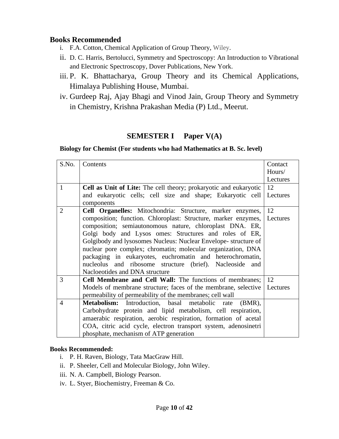## **Books Recommended**

- i. F.A. Cotton, Chemical Application of Group Theory, Wiley.
- ii. D. C. Harris, Bertolucci, Symmetry and Spectroscopy: An Introduction to Vibrational and Electronic Spectroscopy, Dover Publications, New York.
- iii. P. K. Bhattacharya, Group Theory and its Chemical Applications, Himalaya Publishing House, Mumbai.
- iv. Gurdeep Raj, Ajay Bhagi and Vinod Jain, Group Theory and Symmetry in Chemistry, Krishna Prakashan Media (P) Ltd., Meerut.

## **SEMESTER I** Paper V(A)

## **Biology for Chemist (For students who had Mathematics at B. Sc. level)**

| S.No.          | Contents                                                                 | Contact  |
|----------------|--------------------------------------------------------------------------|----------|
|                |                                                                          | Hours/   |
|                |                                                                          | Lectures |
| 1              | Cell as Unit of Lite: The cell theory; prokaryotic and eukaryotic        | 12       |
|                | and eukaryotic cells; cell size and shape; Eukaryotic cell<br>components | Lectures |
| 2              | Cell Organelles: Mitochondria: Structure, marker enzymes,                | 12       |
|                | composition; function. Chloroplast: Structure, marker enzymes,           | Lectures |
|                | composition; semiautonomous nature, chloroplast DNA. ER,                 |          |
|                | Golgi body and Lysos omes: Structures and roles of ER,                   |          |
|                | Golgibody and lysosomes Nucleus: Nuclear Envelope-structure of           |          |
|                | nuclear pore complex; chromatin; molecular organization, DNA             |          |
|                | packaging in eukaryotes, euchromatin and heterochromatin,                |          |
|                | nucleolus and ribosome structure (brief). Nacleoside<br>and              |          |
|                | Nacloeotides and DNA structure                                           |          |
| 3              | Cell Membrane and Cell Wall: The functions of membranes;                 | 12       |
|                | Models of membrane structure; faces of the membrane, selective           | Lectures |
|                | permeability of permeability of the membranes; cell wall                 |          |
| $\overline{4}$ | Metabolism: Introduction, basal metabolic rate<br>$(BMR)$ ,              |          |
|                | Carbohydrate protein and lipid metabolism, cell respiration,             |          |
|                | amaerabic respiration, aerobic respiration, formation of acetal          |          |
|                | COA, citric acid cycle, electron transport system, adenosinetri          |          |
|                | phosphate, mechanism of ATP generation                                   |          |

## **Books Recommended:**

- i. P. H. Raven, Biology, Tata MacGraw Hill.
- ii. P. Sheeler, Cell and Molecular Biology, John Wiley.
- iii. N. A. Campbell, Biology Pearson.
- iv. L. Styer, Biochemistry, Freeman & Co.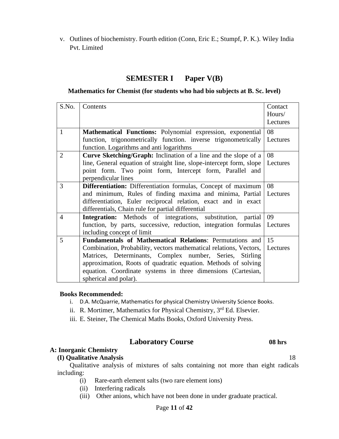v. Outlines of biochemistry. Fourth edition (Conn, Eric E.; Stumpf, P. K.). Wiley India Pvt. Limited

## **SEMESTER I Paper V(B)**

#### **Mathematics for Chemist (for students who had bio subjects at B. Sc. level)**

| S.No.          | Contents                                                                      | Contact<br>Hours/ |
|----------------|-------------------------------------------------------------------------------|-------------------|
|                |                                                                               | Lectures          |
| $\mathbf{1}$   | Mathematical Functions: Polynomial expression, exponential                    | 08                |
|                | function, trigonometrically function. inverse trigonometrically               | Lectures          |
|                | function. Logarithms and anti logarithms                                      |                   |
| $\overline{2}$ | <b>Curve Sketching/Graph:</b> Inclination of a line and the slope of a        | 08                |
|                | line, General equation of straight line, slope-intercept form, slope          | Lectures          |
|                | point form. Two point form, Intercept form, Parallel and                      |                   |
|                | perpendicular lines                                                           |                   |
| 3              | Differentiation: Differentiation formulas, Concept of maximum                 | 08                |
|                | and minimum, Rules of finding maxima and minima, Partial                      | Lectures          |
|                | differentiation, Euler reciprocal relation, exact and in exact                |                   |
|                | differentials, Chain rule for partial differential                            |                   |
| $\overline{4}$ | <b>Integration:</b> Methods of integrations, substitution, partial            | 09                |
|                | function, by parts, successive, reduction, integration formulas               | Lectures          |
|                | including concept of limit                                                    |                   |
| 5              | <b>Fundamentals of Mathematical Relations: Permutations and  </b>             | 15                |
|                | Combination, Probability, vectors mathematical relations, Vectors,   Lectures |                   |
|                | Matrices, Determinants, Complex number, Series, Stirling                      |                   |
|                | approximation, Roots of quadratic equation. Methods of solving                |                   |
|                | equation. Coordinate systems in three dimensions (Cartesian,                  |                   |
|                | spherical and polar).                                                         |                   |

#### **Books Recommended:**

- i. D.A. McQuarrie, Mathematics for physical Chemistry University Science Books.
- ii. R. Mortimer, Mathematics for Physical Chemistry,  $3<sup>rd</sup>$  Ed. Elsevier.
- iii. E. Steiner, The Chemical Maths Books, Oxford University Press.

## **Laboratory Course 08 hrs**

## **A: Inorganic Chemistry**

#### **(I) Qualitative Analysis** 18

Qualitative analysis of mixtures of salts containing not more than eight radicals including:

- (i) Rare-earth element salts (two rare element ions)
- (ii) Interfering radicals
- (iii) Other anions, which have not been done in under graduate practical.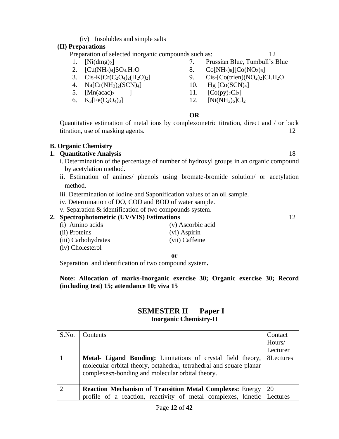(iv) Insolubles and simple salts

## **(II) Preparations**

Preparation of selected inorganic compounds such as: 12

- 1. [Ni(dmg)<sub>2</sub>] 7. Prussian Blue, Tumbull's Blue
- 
- 
- 4. Na[Cr(NH3)2(SCN)4] 10. Hg [Co(SCN)4]
- 
- 
- 2.  $[Cu(NH_3)_4]SO_4.H_2O$  8.  $Co[NH_3)_6][Co(NO_2)_6]$
- 3.  $Cis-K[Cr(C<sub>2</sub>O<sub>4</sub>)<sub>2</sub>(H<sub>2</sub>O)<sub>2</sub>]$  9.  $Cis-[Co(trien)(NO<sub>2</sub>)<sub>2</sub>]Cl.H<sub>2</sub>O$ 
	-
- 5.  $[Mn(acac)<sub>3</sub>$  ] 11.  $[Co(py)<sub>2</sub>Cl<sub>2</sub>]$
- 6.  $K_3[Fe(C_2O_4)_3]$  12.  $[Ni(NH_3)_6]Cl_2$

#### **OR**

Quantitative estimation of metal ions by complexometric titration, direct and / or back titration, use of masking agents. 12

#### **B. Organic Chemistry**

#### **1. Quantitative Analysis** 18

- i. Determination of the percentage of number of hydroxyl groups in an organic compound by acetylation method.
- ii. Estimation of amines/ phenols using bromate-bromide solution/ or acetylation method.
- iii. Determination of Iodine and Saponification values of an oil sample.
- iv. Determination of DO, COD and BOD of water sample.
- v. Separation & identification of two compounds system.

#### **2. Spectrophotometric (UV/VIS) Estimations** 12

(i) Amino acids (v) Ascorbic acid (ii) Proteins (vi) Aspirin (iii) Carbohydrates (vii) Caffeine (iv) Cholesterol

**or**

Separation and identification of two compound system**.**

#### **Note: Allocation of marks-Inorganic exercise 30; Organic exercise 30; Record (including test) 15; attendance 10; viva 15**

## **SEMESTER II Paper I Inorganic Chemistry-II**

| S.No. | Contents                                                                                                                                                                                     | Contact   |
|-------|----------------------------------------------------------------------------------------------------------------------------------------------------------------------------------------------|-----------|
|       |                                                                                                                                                                                              | Hours/    |
|       |                                                                                                                                                                                              | Lecturer  |
|       | Metal- Ligand Bonding: Limitations of crystal field theory,<br>molecular orbital theory, octahedral, tetrahedral and square planar<br>complexes $\pi$ -bonding and molecular orbital theory. | 8Lectures |
|       | <b>Reaction Mechanism of Transition Metal Complexes: Energy</b>                                                                                                                              | 20        |
|       | profile of a reaction, reactivity of metal complexes, kinetic   Lectures                                                                                                                     |           |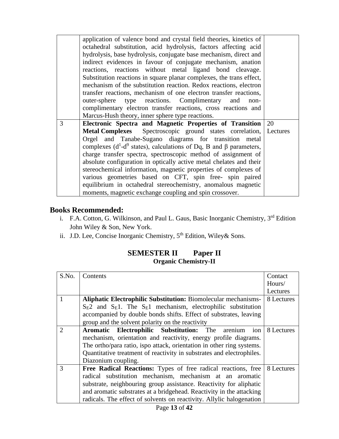|   | application of valence bond and crystal field theories, kinetics of<br>octahedral substitution, acid hydrolysis, factors affecting acid<br>hydrolysis, base hydrolysis, conjugate base mechanism, direct and<br>indirect evidences in favour of conjugate mechanism, anation<br>reactions, reactions without metal ligand bond cleavage.<br>Substitution reactions in square planar complexes, the trans effect,<br>mechanism of the substitution reaction. Redox reactions, electron<br>transfer reactions, mechanism of one electron transfer reactions,<br>outer-sphere type reactions. Complimentary and<br>non-<br>complimentary electron transfer reactions, cross reactions and<br>Marcus-Hush theory, inner sphere type reactions. |    |
|---|--------------------------------------------------------------------------------------------------------------------------------------------------------------------------------------------------------------------------------------------------------------------------------------------------------------------------------------------------------------------------------------------------------------------------------------------------------------------------------------------------------------------------------------------------------------------------------------------------------------------------------------------------------------------------------------------------------------------------------------------|----|
| 3 | Electronic Spectra and Magnetic Properties of Transition                                                                                                                                                                                                                                                                                                                                                                                                                                                                                                                                                                                                                                                                                   | 20 |
|   | Metal Complexes Spectroscopic ground states correlation, Lectures<br>Orgel and Tanabe-Sugano diagrams for transition metal                                                                                                                                                                                                                                                                                                                                                                                                                                                                                                                                                                                                                 |    |
|   | complexes ( $d^1-d^9$ states), calculations of Dq, B and $\beta$ parameters,                                                                                                                                                                                                                                                                                                                                                                                                                                                                                                                                                                                                                                                               |    |
|   | charge transfer spectra, spectroscopic method of assignment of                                                                                                                                                                                                                                                                                                                                                                                                                                                                                                                                                                                                                                                                             |    |
|   | absolute configuration in optically active metal chelates and their                                                                                                                                                                                                                                                                                                                                                                                                                                                                                                                                                                                                                                                                        |    |
|   | stereochemical information, magnetic properties of complexes of                                                                                                                                                                                                                                                                                                                                                                                                                                                                                                                                                                                                                                                                            |    |
|   | various geometries based on CFT, spin free- spin paired                                                                                                                                                                                                                                                                                                                                                                                                                                                                                                                                                                                                                                                                                    |    |
|   | equilibrium in octahedral stereochemistry, anomalous magnetic                                                                                                                                                                                                                                                                                                                                                                                                                                                                                                                                                                                                                                                                              |    |
|   | moments, magnetic exchange coupling and spin crossover.                                                                                                                                                                                                                                                                                                                                                                                                                                                                                                                                                                                                                                                                                    |    |

## **Books Recommended:**

- i. F.A. Cotton, G. Wilkinson, and Paul L. Gaus, Basic Inorganic Chemistry, 3<sup>rd</sup> Edition John Wiley & Son, New York.
- ii. J.D. Lee, Concise Inorganic Chemistry, 5<sup>th</sup> Edition, Wiley& Sons.

## **SEMESTER II Paper II Organic Chemistry-II**

| S.No.          | Contents                                                              | Contact    |
|----------------|-----------------------------------------------------------------------|------------|
|                |                                                                       |            |
|                |                                                                       | Hours/     |
|                |                                                                       | Lectures   |
|                | <b>Aliphatic Electrophilic Substitution: Biomolecular mechanisms-</b> | 8 Lectures |
|                | $S_E2$ and $S_E1$ . The $S_E1$ mechanism, electrophilic substitution  |            |
|                | accompanied by double bonds shifts. Effect of substrates, leaving     |            |
|                | group and the solvent polarity on the reactivity                      |            |
| $\overline{2}$ | Aromatic Electrophilic Substitution: The<br>arenium<br>ion            | 8 Lectures |
|                | mechanism, orientation and reactivity, energy profile diagrams.       |            |
|                | The ortho/para ratio, ispo attack, orientation in other ring systems. |            |
|                | Quantitative treatment of reactivity in substrates and electrophiles. |            |
|                | Diazonium coupling.                                                   |            |
| 3              | Free Radical Reactions: Types of free radical reactions, free         | 8 Lectures |
|                | radical substitution mechanism, mechanism at an aromatic              |            |
|                | substrate, neighbouring group assistance. Reactivity for aliphatic    |            |
|                | and aromatic substrates at a bridgehead. Reactivity in the attacking  |            |
|                | radicals. The effect of solvents on reactivity. Allylic halogenation  |            |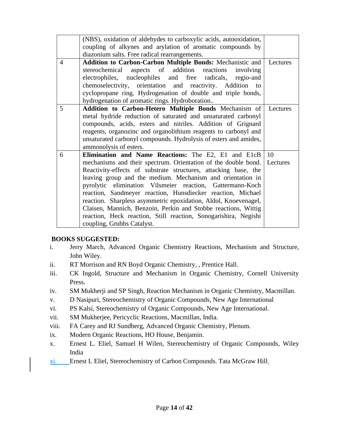|                 | (NBS), oxidation of aldehydes to carboxylic acids, autooxidation,         |          |
|-----------------|---------------------------------------------------------------------------|----------|
|                 | coupling of alkynes and arylation of aromatic compounds by                |          |
|                 | diazonium salts. Free radical rearrangements.                             |          |
| $\overline{4}$  | <b>Addition to Carbon-Carbon Multiple Bonds: Mechanistic and</b>          | Lectures |
|                 | stereochemical aspects of addition reactions<br>involving                 |          |
|                 | electrophiles, nucleophiles and free radicals, regio-and                  |          |
|                 | chemoselectivity, orientation and reactivity. Addition to                 |          |
|                 | cyclopropane ring. Hydrogenation of double and triple bonds,              |          |
|                 | hydrogenation of aromatic rings. Hydroboration                            |          |
| $5\overline{)}$ | Addition to Carbon-Hetero Multiple Bonds Mechanism of                     | Lectures |
|                 | metal hydride reduction of saturated and unsaturated carbonyl             |          |
|                 | compounds, acids, esters and nitriles. Addition of Grignard               |          |
|                 | reagents, organozinc and organolithium reagents to carbonyl and           |          |
|                 | unsaturated carbonyl compounds. Hydrolysis of esters and amides,          |          |
|                 | ammonolysis of esters.                                                    |          |
| 6               | Elimination and Name Reactions: The E2, E1 and E1cB                       | 10       |
|                 | mechanisms and their spectrum. Orientation of the double bond.   Lectures |          |
|                 | Reactivity-effects of substrate structures, attacking base, the           |          |
|                 | leaving group and the medium. Mechanism and orientation in                |          |
|                 | pyrolytic elimination Vilsmeier reaction, Gattermann-Koch                 |          |
|                 | reaction, Sandmeyer reaction, Hunsdiecker reaction, Michael               |          |
|                 | reaction. Sharpless asymmetric epoxidation, Aldol, Knoevenagel,           |          |
|                 | Claisen, Mannich, Benzoin, Perkin and Stobbe reactions, Wittig            |          |
|                 | reaction, Heck reaction, Still reaction, Sonogarishira, Negishi           |          |
|                 | coupling, Grubbs Catalyst.                                                |          |
|                 |                                                                           |          |

## **BOOKS SUGGESTED:**

- i. Jerry March, Advanced Organic Chemistry Reactions, Mechanism and Structure, John Wiley.
- ii. RT Morrison and RN Boyd Organic Chemistry, , Prentice Hall.
- iii. CK Ingold, Structure and Mechanism in Organic Chemistry, Cornell University Press.
- iv. SM Mukherji and SP Singh, Reaction Mechanism in Organic Chemistry, Macmillan.
- v. D Nasipuri, Stereochemistry of Organic Compounds, New Age International
- vi. PS Kalsi, Stereochemistry of Organic Compounds, New Age International.
- vii. SM Mukherjee, Pericyclic Reactions, Macmillan, India.
- viii. FA Carey and RJ Sundberg, Advanced Organic Chemistry, Plenum.
- ix. Modern Organic Reactions, HO House, Benjamin.
- x. Ernest L. Eliel, Samuel H Wilen, Stereochemistry of Organic Compounds, Wiley India
- xi. Ernest L Eliel, Stereochemistry of Carbon Compounds. Tata McGraw Hill.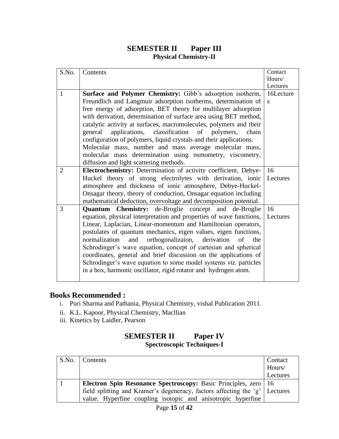## **SEMESTER II Paper III Physical Chemistry-II**

| S.No.          | Contents                                                             | Contact      |
|----------------|----------------------------------------------------------------------|--------------|
|                |                                                                      | Hours/       |
|                |                                                                      | Lectures     |
| 1              | <b>Surface and Polymer Chemistry:</b> Gibb's adsorption isotherm,    | 16Lecture    |
|                | Freundlich and Langmuir adsorption isotherms, determination of       | <sub>S</sub> |
|                | free energy of adsorption, BET theory for multilayer adsorption      |              |
|                | with derivation, determination of surface area using BET method,     |              |
|                | catalytic activity at surfaces, macromolecules, polymers and their   |              |
|                | applications, classification of polymers,<br>general<br>chain        |              |
|                | configuration of polymers, liquid crystals and their applications.   |              |
|                | Molecular mass, number and mass average molecular mass,              |              |
|                | molecular mass determination using osmometry, viscometry,            |              |
|                | diffusion and light scattering methods.                              |              |
| $\overline{2}$ | Electrochemistry: Determination of activity coefficient, Debye-      | 16           |
|                | Huckel theory of strong electrolytes with derivation, ionic          | Lectures     |
|                | atmosphere and thickness of ionic atmosphere, Debye-Huckel-          |              |
|                | Onsagar theory, theory of conduction, Onsagar equation including     |              |
|                | mathematical deduction, overvoltage and decomposition potential.     |              |
| 3              | <b>Quantum Chemistry:</b> de-Broglie concept and de-Broglie          | 16           |
|                | equation, physical interpretation and properties of wave functions,  | Lectures     |
|                | Linear, Laplacian, Linear-momentum and Hamiltonian operators,        |              |
|                | postulates of quantum mechanics, eigen values, eigen functions,      |              |
|                | orthogonalizaion,<br>normalization<br>and<br>derivation<br>of<br>the |              |
|                | Schrodinger's wave equation, concept of cartesian and spherical      |              |
|                | coordinates, general and brief discussion on the applications of     |              |
|                | Schrodinger's wave equation to some model systems viz. particles     |              |
|                | in a box, harmonic oscillator, rigid rotator and hydrogen atom.      |              |
|                |                                                                      |              |

## **Books Recommended :**

- i. Puri Sharma and Pathania, Physical Chemistry, vishal Publication 2011.
- ii. K.L. Kapoor, Physical Chemistry, Macllian
- iii. Kinetics by Laidler, Pearson

| <b>SEMESTER II</b>                | <b>Paper IV</b> |
|-----------------------------------|-----------------|
| <b>Spectroscopic Techniques-I</b> |                 |

| S.No.   Contents                                                            | Contact  |
|-----------------------------------------------------------------------------|----------|
|                                                                             | Hours/   |
|                                                                             | Lectures |
| <b>Electron Spin Resonance Spectroscopy: Basic Principles, zero</b>   16    |          |
| field splitting and Kramer's degeneracy, factors affecting the 'g' Lectures |          |
| value. Hyperfine coupling isotopic and anisotropic hyperfine                |          |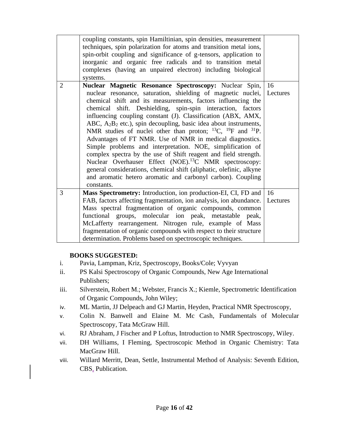|                | coupling constants, spin Hamiltinian, spin densities, measurement<br>techniques, spin polarization for atoms and transition metal ions,<br>spin-orbit coupling and significance of g-tensors, application to<br>inorganic and organic free radicals and to transition metal<br>complexes (having an unpaired electron) including biological<br>systems.                                                                                                                                                                                                                                                                                                                                                                                                                                                                                                                                                     |                |
|----------------|-------------------------------------------------------------------------------------------------------------------------------------------------------------------------------------------------------------------------------------------------------------------------------------------------------------------------------------------------------------------------------------------------------------------------------------------------------------------------------------------------------------------------------------------------------------------------------------------------------------------------------------------------------------------------------------------------------------------------------------------------------------------------------------------------------------------------------------------------------------------------------------------------------------|----------------|
| $\overline{2}$ | Nuclear Magnetic Resonance Spectroscopy: Nuclear Spin,<br>nuclear resonance, saturation, shielding of magnetic nuclei, Lectures<br>chemical shift and its measurements, factors influencing the<br>chemical shift. Deshielding, spin-spin interaction, factors<br>influencing coupling constant (J). Classification (ABX, AMX,<br>ABC, $A_2B_2$ etc.), spin decoupling, basic idea about instruments,<br>NMR studies of nuclei other than proton; $^{13}C$ , $^{19}F$ and $^{31}P$ .<br>Advantages of FT NMR. Use of NMR in medical diagnostics.<br>Simple problems and interpretation. NOE, simplification of<br>complex spectra by the use of Shift reagent and field strength.<br>Nuclear Overhauser Effect (NOE). <sup>13</sup> C NMR spectroscopy:<br>general considerations, chemical shift (aliphatic, olefinic, alkyne<br>and aromatic hetero aromatic and carbonyl carbon). Coupling<br>constants. | 16             |
| 3              | Mass Spectrometry: Introduction, ion production-EI, CI, FD and<br>FAB, factors affecting fragmentation, ion analysis, ion abundance.<br>Mass spectral fragmentation of organic compounds, common<br>functional groups, molecular ion peak, metastable peak,<br>McLafferty rearrangement. Nitrogen rule, example of Mass<br>fragmentation of organic compounds with respect to their structure<br>determination. Problems based on spectroscopic techniques.                                                                                                                                                                                                                                                                                                                                                                                                                                                 | 16<br>Lectures |

## **BOOKS SUGGESTED:**

- i. Pavia, Lampman, Kriz, Spectroscopy, Books/Cole; Vyvyan
- ii. PS Kalsi Spectroscopy of Organic Compounds, New Age International Publishers;
- iii. Silverstein, Robert M.; Webster, Francis X.; Kiemle, Spectrometric Identification of Organic Compounds, John Wiley;
- iv. ML Martin, JJ Delpeach and GJ Martin, Heyden, Practical NMR Spectroscopy,
- v. Colin N. Banwell and Elaine M. Mc Cash, Fundamentals of Molecular Spectroscopy, Tata McGraw Hill.
- vi. RJ Abraham, J Fischer and P Loftus, Introduction to NMR Spectroscopy, Wiley.
- vii. DH Williams, I Fleming, Spectroscopic Method in Organic Chemistry: Tata MacGraw Hill.
- viii. Willard Merritt, Dean, Settle, Instrumental Method of Analysis: Seventh Edition, CBS, Publication.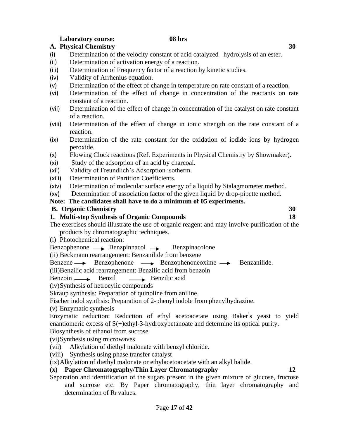#### **Laboratory course: 08 hrs A. Physical Chemistry 30**

- (i) Determination of the velocity constant of acid catalyzed hydrolysis of an ester.
- (ii) Determination of activation energy of a reaction.
- (iii) Determination of Frequency factor of a reaction by kinetic studies.
- (iv) Validity of Arrhenius equation.
- (v) Determination of the effect of change in temperature on rate constant of a reaction.
- (vi) Determination of the effect of change in concentration of the reactants on rate constant of a reaction.
- (vii) Determination of the effect of change in concentration of the catalyst on rate constant of a reaction.
- (viii) Determination of the effect of change in ionic strength on the rate constant of a reaction.
- (ix) Determination of the rate constant for the oxidation of iodide ions by hydrogen peroxide.
- (x) Flowing Clock reactions (Ref. Experiments in Physical Chemistry by Showmaker).
- (xi) Study of the adsorption of an acid by charcoal.
- (xii) Validity of Freundlich's Adsorption isotherm.
- (xiii) Determination of Partition Coefficients.
- (xiv) Determination of molecular surface energy of a liquid by Stalagmometer method.
- (xv) Determination of association factor of the given liquid by drop-pipette method.

## **Note: The candidates shall have to do a minimum of 05 experiments.**

## **B. Organic Chemistry 30**

## **1. Multi-step Synthesis of Organic Compounds 18**

- The exercises should illustrate the use of organic reagent and may involve purification of the products by chromatographic techniques.
- (i) Photochemical reaction:

 $Benzophenone \longrightarrow \text{Benzpinnacol} \longrightarrow \text{Benzpinacolone}$ 

(ii) Beckmann rearrangement: Benzanilide from benzene

Benzene  $\longrightarrow$  Benzophenone  $\longrightarrow$  Benzophenoneoxime  $\longrightarrow$  Benzanilide.

(iii)Benzilic acid rearrangement: Benzilic acid from benzoin

Benzoin Benzil Benzilic acid

(iv)Synthesis of hetrocylic compounds

Skraup synthesis: Preparation of quinoline from aniline.

Fischer indol synthsis: Preparation of 2-phenyl indole from phenylhydrazine.

(v) Enzymatic synthesis

Enzymatic reduction: Reduction of ethyl acetoacetate using Baker' s yeast to yield enantiomeric excess of S(+)ethyl-3-hydroxybetanoate and determine its optical purity.

Biosynthesis of ethanol from sucrose

(vi)Synthesis using microwaves

- (vii) Alkylation of diethyl malonate with benzyl chloride.
- (viii) Synthesis using phase transfer catalyst
- (ix)Alkylation of diethyl malonate or ethylacetoacetate with an alkyl halide.

## **(x) Paper Chromatography/Thin Layer Chromatography 12**

Separation and identification of the sugars present in the given mixture of glucose, fructose and sucrose etc. By Paper chromatography, thin layer chromatography and determination of  $R_f$  values.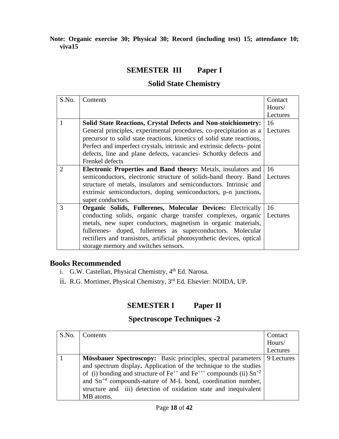**Note: Organic exercise 30; Physical 30; Record (including test) 15; attendance 10; viva15**

## **SEMESTER III Paper I**

## **Solid State Chemistry**

| S.No. | Contents                                                               | Contact  |
|-------|------------------------------------------------------------------------|----------|
|       |                                                                        | Hours/   |
|       |                                                                        | Lectures |
| 1     | <b>Solid State Reactions, Crystal Defects and Non-stoichiometry:</b>   | 16       |
|       | General principles, experimental procedures, co-precipitation as a     | Lectures |
|       | precursor to solid state reactions, kinetics of solid state reactions, |          |
|       | Perfect and imperfect crystals, intrinsic and extrinsic defects-point  |          |
|       | defects, line and plane defects, vacancies- Schottky defects and       |          |
|       | Frenkel defects                                                        |          |
| 2     | <b>Electronic Properties and Band theory:</b> Metals, insulators and   | 16       |
|       | semiconductors, electronic structure of solids-band theory. Band       | Lectures |
|       | structure of metals, insulators and semiconductors. Intrinsic and      |          |
|       | extrinsic semiconductors, doping semiconductors, p-n junctions,        |          |
|       | super conductors.                                                      |          |
| 3     | <b>Organic Solids, Fullerenes, Molecular Devices: Electrically</b>     | 16       |
|       | conducting solids, organic charge transfer complexes, organic          | Lectures |
|       | metals, new super conductors, magnetism in organic materials,          |          |
|       | fullerenes- doped, fullerenes as superconductors. Molecular            |          |
|       | rectifiers and transistors, artificial photosynthetic devices, optical |          |
|       | storage memory and switches sensors.                                   |          |

## **Books Recommended**

- i. G.W. Castellan, Physical Chemistry, 4<sup>th</sup> Ed. Narosa.
- ii. R.G. Mortimer, Physical Chemistry, 3<sup>rd</sup> Ed. Elsevier: NOIDA, UP.

## **SEMESTER I Paper II**

## **Spectroscope Techniques -2**

| S.No. | Contents                                                                         | Contact    |
|-------|----------------------------------------------------------------------------------|------------|
|       |                                                                                  | Hours/     |
|       |                                                                                  | Lectures   |
|       | Mössbauer Spectroscopy: Basic principles, spectral parameters                    | 9 Lectures |
|       | and spectrum display. Application of the technique to the studies                |            |
|       | of (i) bonding and structure of $Fe^{++}$ and $Fe^{++}$ compounds (ii) $Sn^{+2}$ |            |
|       | and $Sn^{+4}$ compounds-nature of M-L bond, coordination number,                 |            |
|       | structure and iii) detection of oxidation state and inequivalent                 |            |
|       | MB atoms.                                                                        |            |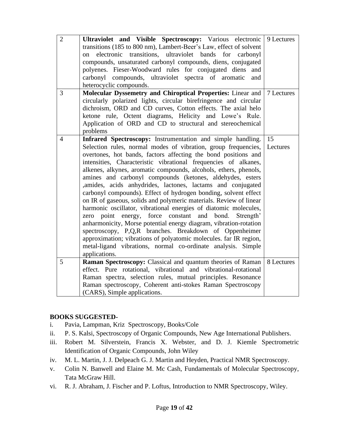| $\overline{2}$ | Ultraviolet and Visible Spectroscopy: Various electronic<br>transitions (185 to 800 nm), Lambert-Beer's Law, effect of solvent<br>electronic transitions, ultraviolet bands<br>for<br>carbonyl<br>on<br>compounds, unsaturated carbonyl compounds, diens, conjugated<br>polyenes. Fieser-Woodward rules for conjugated diens<br>and<br>carbonyl compounds, ultraviolet spectra of aromatic<br>and<br>heterocyclic compounds.                                                                                                                                                                                                                                                                                                                                                                                                                                                                                                                                                                                                     | 9 Lectures     |
|----------------|----------------------------------------------------------------------------------------------------------------------------------------------------------------------------------------------------------------------------------------------------------------------------------------------------------------------------------------------------------------------------------------------------------------------------------------------------------------------------------------------------------------------------------------------------------------------------------------------------------------------------------------------------------------------------------------------------------------------------------------------------------------------------------------------------------------------------------------------------------------------------------------------------------------------------------------------------------------------------------------------------------------------------------|----------------|
| $\overline{3}$ | Molecular Dyssemetry and Chiroptical Properties: Linear and<br>circularly polarized lights, circular birefringence and circular<br>dichroism, ORD and CD curves, Cotton effects. The axial helo<br>ketone rule, Octent diagrams, Helicity and Lowe's Rule.<br>Application of ORD and CD to structural and stereochemical<br>problems                                                                                                                                                                                                                                                                                                                                                                                                                                                                                                                                                                                                                                                                                             | 7 Lectures     |
| $\overline{4}$ | Infrared Spectroscopy: Instrumentation and simple handling.<br>Selection rules, normal modes of vibration, group frequencies,<br>overtones, hot bands, factors affecting the bond positions and<br>intensities, Characteristic vibrational frequencies of alkanes,<br>alkenes, alkynes, aromatic compounds, alcohols, ethers, phenols,<br>amines and carbonyl compounds (ketones, aldehydes, esters<br>,amides, acids anhydrides, lactones, lactams and conjugated<br>carbonyl compounds). Effect of hydrogen bonding, solvent effect<br>on IR of gaseous, solids and polymeric materials. Review of linear<br>harmonic oscillator, vibrational energies of diatomic molecules,<br>zero point energy, force constant and bond.<br>Strength'<br>anharmonicity, Morse potential energy diagram, vibration-rotation<br>spectroscopy, P,Q,R branches. Breakdown of Oppenheimer<br>approximation; vibrations of polyatomic molecules. far IR region,<br>metal-ligand vibrations, normal co-ordinate analysis. Simple<br>applications. | 15<br>Lectures |
| 5              | Raman Spectroscopy: Classical and quantum theories of Raman<br>effect. Pure rotational, vibrational and vibrational-rotational<br>Raman spectra, selection rules, mutual principles. Resonance<br>Raman spectroscopy, Coherent anti-stokes Raman Spectroscopy<br>(CARS), Simple applications.                                                                                                                                                                                                                                                                                                                                                                                                                                                                                                                                                                                                                                                                                                                                    | 8 Lectures     |

## **BOOKS SUGGESTED-**

- i. Pavia, Lampman, Kriz Spectroscopy, Books/Cole
- ii. P. S. Kalsi, Spectroscopy of Organic Compounds, New Age International Publishers.
- iii. Robert M. Silverstein, Francis X. Webster, and D. J. Kiemle Spectrometric Identification of Organic Compounds, John Wiley
- iv. M. L. Martin, J. J. Delpeach G. J. Martin and Heyden, Practical NMR Spectroscopy.
- v. Colin N. Banwell and Elaine M. Mc Cash, Fundamentals of Molecular Spectroscopy, Tata McGraw Hill.
- vi. R. J. Abraham, J. Fischer and P. Loftus, Introduction to NMR Spectroscopy, Wiley.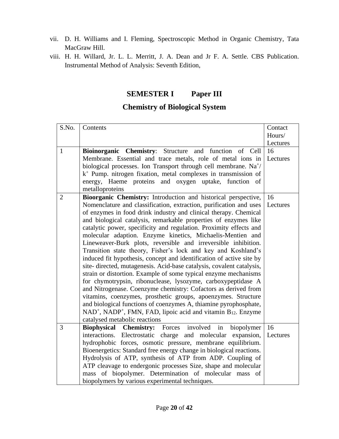- vii. D. H. Williams and I. Fleming, Spectroscopic Method in Organic Chemistry, Tata MacGraw Hill.
- viii. H. H. Willard, Jr. L. L. Merritt, J. A. Dean and Jr F. A. Settle. CBS Publication. Instrumental Method of Analysis: Seventh Edition,

## **SEMESTER I Paper III**

## **Chemistry of Biological System**

| S.No.          | Contents                                                                                                                        | Contact        |
|----------------|---------------------------------------------------------------------------------------------------------------------------------|----------------|
|                |                                                                                                                                 | Hours/         |
|                |                                                                                                                                 | Lectures       |
| $\mathbf{1}$   | Bioinorganic Chemistry: Structure and function<br>of Cell<br>Membrane. Essential and trace metals, role of metal ions in        | 16<br>Lectures |
|                | biological processes. Ion Transport through cell membrane. Na <sup>+/</sup>                                                     |                |
|                | $k^+$ Pump. nitrogen fixation, metal complexes in transmission of                                                               |                |
|                | energy, Haeme proteins and oxygen uptake, function of<br>metalloproteins                                                        |                |
| $\overline{2}$ | Bioorganic Chemistry: Introduction and historical perspective,                                                                  | 16             |
|                | Nomenclature and classification, extraction, purification and uses                                                              | Lectures       |
|                | of enzymes in food drink industry and clinical therapy. Chemical                                                                |                |
|                | and biological catalysis, remarkable properties of enzymes like                                                                 |                |
|                | catalytic power, specificity and regulation. Proximity effects and                                                              |                |
|                | molecular adaption. Enzyme kinetics, Michaelis-Mentien and                                                                      |                |
|                | Lineweaver-Burk plots, reversible and irreversible inhibition.                                                                  |                |
|                | Transition state theory, Fisher's lock and key and Koshland's                                                                   |                |
|                | induced fit hypothesis, concept and identification of active site by                                                            |                |
|                | site-directed, mutagenesis. Acid-base catalysis, covalent catalysis,                                                            |                |
|                | strain or distortion. Example of some typical enzyme mechanisms<br>for chymotrypsin, ribonuclease, lysozyme, carboxypeptidase A |                |
|                | and Nitrogenase. Coenzyme chemistry: Cofactors as derived from                                                                  |                |
|                | vitamins, coenzymes, prosthetic groups, apoenzymes. Structure                                                                   |                |
|                | and biological functions of coenzymes A, thiamine pyrophosphate,                                                                |                |
|                | NAD <sup>+</sup> , NADP <sup>+</sup> , FMN, FAD, lipoic acid and vitamin B <sub>12</sub> . Enzyme                               |                |
|                | catalysed metabolic reactions                                                                                                   |                |
| 3              | Forces involved<br><b>Biophysical</b><br><b>Chemistry:</b><br>in<br>biopolymer                                                  | 16             |
|                | Electrostatic charge and molecular expansion,<br>interactions.                                                                  | Lectures       |
|                | hydrophobic forces, osmotic pressure, membrane equilibrium.                                                                     |                |
|                | Bioenergetics: Standard free energy change in biological reactions.                                                             |                |
|                | Hydrolysis of ATP, synthesis of ATP from ADP. Coupling of                                                                       |                |
|                | ATP cleavage to endergonic processes Size, shape and molecular                                                                  |                |
|                | mass of biopolymer. Determination of molecular mass of                                                                          |                |
|                | biopolymers by various experimental techniques.                                                                                 |                |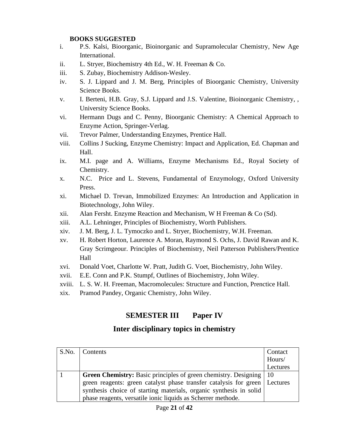## **BOOKS SUGGESTED**

- i. P.S. Kalsi, Bioorganic, Bioinorganic and Supramolecular Chemistry, New Age International.
- ii. L. Stryer, Biochemistry 4th Ed., W. H. Freeman & Co.
- iii. S. Zubay, Biochemistry Addison-Wesley.
- iv. S. J. Lippard and J. M. Berg, Principles of Bioorganic Chemistry, University Science Books.
- v. I. Berteni, H.B. Gray, S.J. Lippard and J.S. Valentine, Bioinorganic Chemistry, , University Science Books.
- vi. Hermann Dugs and C. Penny, Bioorganic Chemistry: A Chemical Approach to Enzyme Action, Springer-Verlag.
- vii. Trevor Palmer, Understanding Enzymes, Prentice Hall.
- viii. Collins J Sucking, Enzyme Chemistry: Impact and Application, Ed. Chapman and Hall.
- ix. M.I. page and A. Williams, Enzyme Mechanisms Ed., Royal Society of Chemistry.
- x. N.C. Price and L. Stevens, Fundamental of Enzymology, Oxford University Press.
- xi. Michael D. Trevan, Immobilized Enzymes: An Introduction and Application in Biotechnology, John Wiley.
- xii. Alan Fersht. Enzyme Reaction and Mechanism, W H Freeman & Co (Sd).
- xiii. A.L. Lehninger, Principles of Biochemistry, Worth Publishers.
- xiv. J. M. Berg, J. L. Tymoczko and L. Stryer, Biochemistry, W.H. Freeman.
- xv. H. Robert Horton, Laurence A. Moran, Raymond S. Ochs, J. David Rawan and K. Gray Scrimgeour. Principles of Biochemistry, Neil Patterson Publishers/Prentice Hall
- xvi. Donald Voet, Charlotte W. Pratt, Judith G. Voet, Biochemistry, John Wiley.
- xvii. E.E. Conn and P.K. Stumpf, Outlines of Biochemistry, John Wiley.
- xviii. L. S. W. H. Freeman, Macromolecules: Structure and Function, Prenctice Hall.
- xix. Pramod Pandey, Organic Chemistry, John Wiley.

## **SEMESTER III Paper IV**

## **Inter disciplinary topics in chemistry**

| S.No. | Contents                                                                     | Contact  |
|-------|------------------------------------------------------------------------------|----------|
|       |                                                                              | Hours/   |
|       |                                                                              | Lectures |
|       | <b>Green Chemistry:</b> Basic principles of green chemistry. Designing       | $-10$    |
|       | green reagents: green catalyst phase transfer catalysis for green   Lectures |          |
|       | synthesis choice of starting materials, organic synthesis in solid           |          |
|       | phase reagents, versatile ionic liquids as Scherrer methode.                 |          |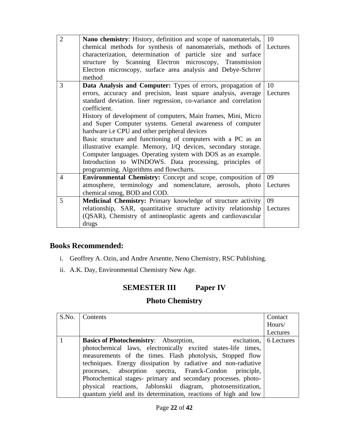| $\overline{2}$ | <b>Nano chemistry:</b> History, definition and scope of nanomaterials, 10 |               |
|----------------|---------------------------------------------------------------------------|---------------|
|                | chemical methods for synthesis of nanomaterials, methods of Lectures      |               |
|                | characterization, determination of particle size and surface              |               |
|                | structure by Scanning Electron microscopy, Transmission                   |               |
|                | Electron microscopy, surface area analysis and Debye-Schrrer              |               |
|                | method                                                                    |               |
| 3              | Data Analysis and Computer: Types of errors, propagation of               | <sup>10</sup> |
|                | errors, accuracy and precision, least square analysis, average   Lectures |               |
|                | standard deviation. liner regression, co-variance and correlation         |               |
|                | coefficient.                                                              |               |
|                | History of development of computers, Main frames, Mini, Micro             |               |
|                | and Super Computer systems. General awareness of computer                 |               |
|                | hardware i.e CPU and other peripheral devices                             |               |
|                | Basic structure and functioning of computers with a PC as an              |               |
|                | illustrative example. Memory, I/Q devices, secondary storage.             |               |
|                | Computer languages. Operating system with DOS as an example.              |               |
|                | Introduction to WINDOWS. Data processing, principles of                   |               |
|                | programming. Algorithms and flowcharts.                                   |               |
| $\overline{4}$ | <b>Environmental Chemistry:</b> Concept and scope, composition of         | 09            |
|                | atmosphere, terminology and nomenclature, aerosols, photo                 | Lectures      |
|                | chemical smog, BOD and COD.                                               |               |
| 5              | Medicinal Chemistry: Primary knowledge of structure activity              | 09            |
|                | relationship, SAR, quantitative structure activity relationship Lectures  |               |
|                | (QSAR), Chemistry of antineoplastic agents and cardiovascular             |               |
|                | drugs                                                                     |               |

## **Books Recommended:**

- i. Geoffrey A. Ozin, and Andre Arsentte, Neno Chemistry, RSC Publishing.
- ii. A.K. Day, Environmental Chemistry New Age.

## **SEMESTER III Paper IV**

## **Photo Chemistry**

| S.No.   Contents                                                       | Contact  |
|------------------------------------------------------------------------|----------|
|                                                                        | Hours/   |
|                                                                        | Lectures |
| excitation, 6 Lectures<br><b>Basics of Photochemistry:</b> Absorption, |          |
| photochemical laws, electronically excited states-life times,          |          |
| measurements of the times. Flash photolysis, Stopped flow              |          |
| techniques. Energy dissipation by radiative and non-radiative          |          |
| processes, absorption spectra, Franck-Condon principle,                |          |
| Photochemical stages- primary and secondary processes. photo-          |          |
| physical reactions, Jablonskii diagram, photosensitization,            |          |
| quantum yield and its determination, reactions of high and low         |          |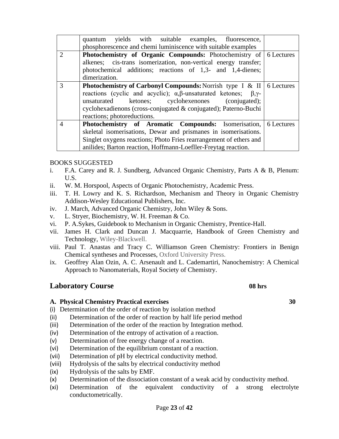|                | yields with suitable examples, fluorescence,<br>quantum                                    |  |
|----------------|--------------------------------------------------------------------------------------------|--|
|                | phosphorescence and chemi luminiscence with suitable examples                              |  |
| 2              | <b>Photochemistry of Organic Compounds:</b> Photochemistry of 6 Lectures                   |  |
|                | alkenes; cis-trans isomerization, non-vertical energy transfer;                            |  |
|                | photochemical additions; reactions of 1,3- and 1,4-dienes;                                 |  |
|                | dimerization.                                                                              |  |
| 3              | <b>Photochemistry of Carbonyl Compounds:</b> Norrish type I & II $\vert$ 6 Lectures        |  |
|                | reactions (cyclic and acyclic); $\alpha, \beta$ -unsaturated ketones;<br>$\beta, \gamma$ - |  |
|                | unsaturated ketones; cyclohexenones (conjugated);                                          |  |
|                | cyclohexadienons (cross-conjugated & conjugated); Paterno-Buchi                            |  |
|                | reactions; photoreductions.                                                                |  |
| $\overline{A}$ | <b>Photochemistry of Aromatic Compounds:</b> Isomerisation, 6 Lectures                     |  |
|                | skeletal isomerisations, Dewar and prismanes in isomerisations.                            |  |
|                | Singlet oxygens reactions; Photo Fries rearrangement of ethers and                         |  |
|                | anilides; Barton reaction, Hoffmann-Loefller-Freytag reaction.                             |  |

#### BOOKS SUGGESTED

- i. F.A. Carey and R. J. Sundberg, Advanced Organic Chemistry, Parts A & B, Plenum: U.S.
- ii. W. M. Horspool, Aspects of Organic Photochemistry, Academic Press.
- iii. T. H. Lowry and K. S. Richardson, Mechanism and Theory in Organic Chemistry Addison-Wesley Educational Publishers, Inc.
- iv. J. March, Advanced Organic Chemistry, John Wiley & Sons.
- v. L. Stryer, Biochemistry, W. H. Freeman & Co.
- vi. P. A.Sykes, Guidebook to Mechanism in Organic Chemistry, Prentice-Hall.
- vii. James H. Clark and Duncan J. Macquarrie, Handbook of Green Chemistry and Technology, Wiley-Blackwell.
- viii. [Paul T. Anastas](http://www.google.co.in/search?tbo=p&tbm=bks&q=inauthor:%22Paul+T.+Anastas%22) and [Tracy C. Williamson](http://www.google.co.in/search?tbo=p&tbm=bks&q=inauthor:%22Tracy+C.+Williamson%22) Green Chemistry: Frontiers in Benign Chemical syntheses and Processes, Oxford University Press.
- ix. [Geoffrey Alan Ozin,](http://www.google.co.in/search?tbo=p&tbm=bks&q=inauthor:%22Geoffrey+Alan+Ozin%22) A. C. Arsenault and L. Cademartiri, Nanochemistry: A Chemical Approach to Nanomaterials, Royal Society of Chemistry.

## **Laboratory Course 08 hrs**

#### **A. Physical Chemistry Practical exercises 30**

(i) Determination of the order of reaction by isolation method

- (ii) Determination of the order of reaction by half life period method
- (iii) Determination of the order of the reaction by Integration method.
- (iv) Determination of the entropy of activation of a reaction.
- (v) Determination of free energy change of a reaction.
- (vi) Determination of the equilibrium constant of a reaction.
- (vii) Determination of pH by electrical conductivity method.
- (viii) Hydrolysis of the salts by electrical conductivity method
- (ix) Hydrolysis of the salts by EMF.
- (x) Determination of the dissociation constant of a weak acid by conductivity method.
- (xi) Determination of the equivalent conductivity of a strong electrolyte conductometrically.
- 
-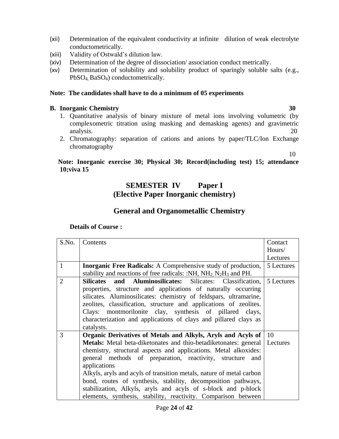- (xii) Determination of the equivalent conductivity at infinite dilution of weak electrolyte conductometrically.
- (xiii) Validity of Ostwald's dilution law.
- (xiv) Determination of the degree of dissociation/ association conduct metrically.
- (xv) Determination of solubility and solubility product of sparingly soluble salts (e.g., PbSO4, BaSO4) conductometrically.

#### **Note: The candidates shall have to do a minimum of 05 experiments**

#### **B. Inorganic Chemistry 30**

- 1. Quantitative analysis of binary mixture of metal ions involving volumetric (by complexometric titration using masking and demasking agents) and gravimetric analysis. 20
- 2. Chromatography: separation of cations and anions by paper/TLC/Ion Exchange chromatography

10

## **Note: Inorganic exercise 30; Physical 30; Record(including test) 15; attendance 10;viva 15**

## **SEMESTER IV Paper I (Elective Paper Inorganic chemistry)**

## **General and Organometallic Chemistry**

| S.No.          | Contents                                                                           | Contact    |
|----------------|------------------------------------------------------------------------------------|------------|
|                |                                                                                    | Hours/     |
|                |                                                                                    | Lectures   |
| $\mathbf{1}$   | <b>Inorganic Free Radicals:</b> A Comprehensive study of production,               | 5 Lectures |
|                | stability and reactions of free radicals: :NH, $NH2 N2H3$ and PH.                  |            |
| $\overline{2}$ | Silicates and Aluminosilicates: Silicates: Classification,                         | 5 Lectures |
|                | properties, structure and applications of naturally occurring                      |            |
|                | silicates. Aluminosilicates: chemistry of feldspars, ultramarine,                  |            |
|                | zeolites, classification, structure and applications of zeolites.                  |            |
|                | Clays: montmorilonite clay, synthesis of pillared clays,                           |            |
|                | characterization and applications of clays and pillared clays as                   |            |
|                | catalysts.                                                                         |            |
| 3              | Organic Derivatives of Metals and Alkyls, Aryls and Acyls of   10                  |            |
|                | <b>Metals:</b> Metal beta-diketonates and thio-betadiketonates: general   Lectures |            |
|                | chemistry, structural aspects and applications. Metal alkoxides:                   |            |
|                | general methods of preparation, reactivity, structure and                          |            |
|                | applications                                                                       |            |
|                | Alkyls, aryls and acyls of transition metals, nature of metal carbon               |            |
|                | bond, routes of synthesis, stability, decomposition pathways,                      |            |
|                | stabilization, Alkyls, aryls and acyls of s-block and p-block                      |            |
|                | elements, synthesis, stability, reactivity. Comparison between                     |            |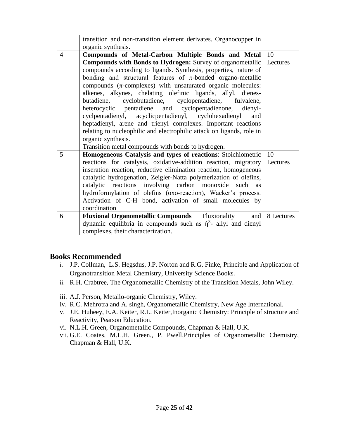|                | transition and non-transition element derivates. Organocopper in           |                |
|----------------|----------------------------------------------------------------------------|----------------|
|                | organic synthesis.                                                         |                |
| $\overline{4}$ | Compounds of Metal-Carbon Multiple Bonds and Metal                         | -10            |
|                | <b>Compounds with Bonds to Hydrogen:</b> Survey of organometallic          | Lectures       |
|                | compounds according to ligands. Synthesis, properties, nature of           |                |
|                | bonding and structural features of $\pi$ -bonded organo-metallic           |                |
|                | compounds $(\pi$ -complexes) with unsaturated organic molecules:           |                |
|                | alkenes, alkynes, chelating olefinic ligands, allyl, dienes-               |                |
|                | cyclobutadiene, cyclopentadiene, fulvalene,<br>butadiene,                  |                |
|                | heterocyclic pentadiene and cyclopentadienone, dienyl-                     |                |
|                | cyclpentadienyl, acyclicpentadienyl, cyclohexadienyl<br>and                |                |
|                | heptadienyl, arene and trienyl complexes. Important reactions              |                |
|                | relating to nucleophilic and electrophilic attack on ligands, role in      |                |
|                | organic synthesis.                                                         |                |
|                | Transition metal compounds with bonds to hydrogen.                         |                |
| 5              | Homogeneous Catalysis and types of reactions: Stoichiometric               | <b>10</b>      |
|                | reactions for catalysis, oxidative-addition reaction, migratory   Lectures |                |
|                | inseration reaction, reductive elimination reaction, homogeneous           |                |
|                | catalytic hydrogenation, Zeigler-Natta polymerization of olefins,          |                |
|                | catalytic reactions involving carbon monoxide such<br><b>as</b>            |                |
|                | hydroformylation of olefins (oxo-reaction), Wacker's process.              |                |
|                | Activation of C-H bond, activation of small molecules by                   |                |
|                | coordination                                                               |                |
| 6              | <b>Fluxional Organometallic Compounds</b> Fluxionality                     | and 8 Lectures |
|                | dynamic equilibria in compounds such as $\eta^3$ - allyl and dienyl        |                |
|                | complexes, their characterization.                                         |                |

## **Books Recommended**

- i. J.P. Collman, L.S. Hegsdus, J.P. Norton and R.G. Finke, Principle and Application of Organotransition Metal Chemistry, University Science Books.
- ii. R.H. Crabtree, The Organometallic Chemistry of the Transition Metals, John Wiley.
- iii. A.J. Person, Metallo-organic Chemistry, Wiley.
- iv. R.C. Mehrotra and A. singh, Organometallic Chemistry, New Age International.
- v. J.E. Huheey, E.A. Keiter, R.L. Keiter,Inorganic Chemistry: Principle of structure and Reactivity, Pearson Education.
- vi. N.L.H. Green, Organometallic Compounds, Chapman & Hall, U.K.
- vii. G.E. Coates, M.L.H. Green., P. Pwell,Principles of Organometallic Chemistry, Chapman & Hall, U.K.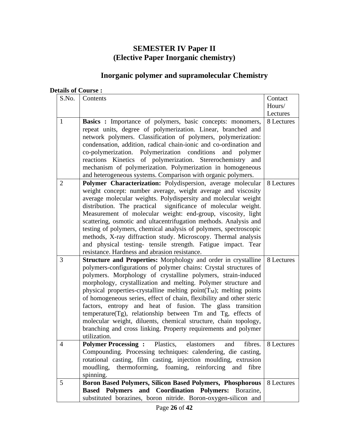## **SEMESTER IV Paper II (Elective Paper Inorganic chemistry)**

## **Inorganic polymer and supramolecular Chemistry**

| S.No.          | Contents                                                                                                                                                                                                                                                                                                                                                                                                                                                                                                                                                                                                                                                                                               | Contact    |
|----------------|--------------------------------------------------------------------------------------------------------------------------------------------------------------------------------------------------------------------------------------------------------------------------------------------------------------------------------------------------------------------------------------------------------------------------------------------------------------------------------------------------------------------------------------------------------------------------------------------------------------------------------------------------------------------------------------------------------|------------|
|                |                                                                                                                                                                                                                                                                                                                                                                                                                                                                                                                                                                                                                                                                                                        | Hours/     |
|                |                                                                                                                                                                                                                                                                                                                                                                                                                                                                                                                                                                                                                                                                                                        | Lectures   |
| $\mathbf{1}$   | <b>Basics</b> : Importance of polymers, basic concepts: monomers,<br>repeat units, degree of polymerization. Linear, branched and<br>network polymers. Classification of polymers, polymerization:<br>condensation, addition, radical chain-ionic and co-ordination and<br>co-polymerization. Polymerization conditions<br>and polymer<br>reactions Kinetics of polymerization. Stererochemistry<br>and<br>mechanism of polymerization. Polymerization in homogeneous<br>and heterogeneous systems. Comparison with organic polymers.                                                                                                                                                                  | 8 Lectures |
| $\overline{2}$ | Polymer Characterization: Polydispersion, average molecular<br>weight concept: number average, weight average and viscosity<br>average molecular weights. Polydispersity and molecular weight<br>distribution. The practical significance of molecular weight.<br>Measurement of molecular weight: end-group, viscosity, light<br>scattering, osmotic and ultacentrifugation methods. Analysis and<br>testing of polymers, chemical analysis of polymers, spectroscopic<br>methods, X-ray diffraction study. Microscopy. Thermal analysis<br>and physical testing- tensile strength. Fatigue impact. Tear<br>resistance. Hardness and abrasion resistance.                                             | 8 Lectures |
| 3              | Structure and Properties: Morphology and order in crystalline<br>polymers-configurations of polymer chains: Crystal structures of<br>polymers. Morphology of crystalline polymers, strain-induced<br>morphology, crystallization and melting. Polymer structure and<br>physical properties-crystalline melting point( $T_M$ ); melting points<br>of homogeneous series, effect of chain, flexibility and other steric<br>factors, entropy and heat of fusion. The glass transition<br>temperature(Tg), relationship between Tm and Tg, effects of<br>molecular weight, diluents, chemical structure, chain topology,<br>branching and cross linking. Property requirements and polymer<br>utilization. | 8 Lectures |
| 4              | <b>Polymer Processing:</b> Plastics,<br>elastomers<br>and<br>fibres.<br>Compounding. Processing techniques: calendering, die casting,<br>rotational casting, film casting, injection moulding, extrusion<br>thermoforming, foaming, reinforcing<br>moudling,<br>and<br>fibre<br>spinning.                                                                                                                                                                                                                                                                                                                                                                                                              | 8 Lectures |
| 5              | Boron Based Polymers, Silicon Based Polymers, Phosphorous<br><b>Based Polymers and</b><br><b>Coordination Polymers:</b> Borazine,<br>substituted borazines, boron nitride. Boron-oxygen-silicon and                                                                                                                                                                                                                                                                                                                                                                                                                                                                                                    | 8 Lectures |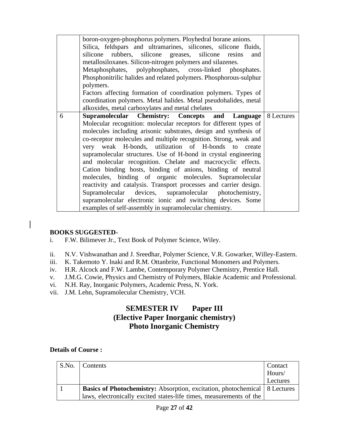|   | boron-oxygen-phosphorus polymers. Ployhedral borane anions.       |  |
|---|-------------------------------------------------------------------|--|
|   | Silica, feldspars and ultramarines, silicones, silicone fluids,   |  |
|   | silicone rubbers, silicone greases, silicone resins<br>and        |  |
|   | metallosiloxanes. Silicon-nitrogen polymers and silazenes.        |  |
|   | Metaphosphates, polyphosphates, cross-linked phosphates.          |  |
|   | Phosphonitrilic halides and related polymers. Phosphorous-sulphur |  |
|   | polymers.                                                         |  |
|   | Factors affecting formation of coordination polymers. Types of    |  |
|   | coordination polymers. Metal halides. Metal pseudohalides, metal  |  |
|   | alkoxides, metal carboxylates and metal chelates                  |  |
|   |                                                                   |  |
| 6 | <b>Supramolecular Chemistry: Concepts and Language 8 Lectures</b> |  |
|   | Molecular recognition: molecular receptors for different types of |  |
|   | molecules including arisonic substrates, design and synthesis of  |  |
|   | co-receptor molecules and multiple recognition. Strong, weak and  |  |
|   | very weak H-bonds, utilization of H-bonds to create               |  |
|   | supramolecular structures. Use of H-bond in crystal engineering   |  |
|   | and molecular recognition. Chelate and macrocyclic effects.       |  |
|   | Cation binding hosts, binding of anions, binding of neutral       |  |
|   | molecules, binding of organic molecules. Supramolecular           |  |
|   | reactivity and catalysis. Transport processes and carrier design. |  |
|   | Supramolecular devices, supramolecular photochemistry,            |  |
|   |                                                                   |  |
|   | supramolecular electronic ionic and switching devices. Some       |  |
|   | examples of self-assembly in supramolecular chemistry.            |  |

## **BOOKS SUGGESTED-**

- i. F.W. Bilimever Jr., Text Book of Polymer Science, Wiley.
- ii. N.V. Vishwanathan and J. Sreedhar, Polymer Science, V.R. Gowarker, Willey-Eastern.
- iii. K. Takemoto Y. lnaki and R.M. Ottanbrite, Functional Monomers and Polymers.
- iv. H.R. Alcock and F.W. Lambe, Contemporary Polymer Chemistry, Prentice Hall.
- v. J.M.G. Cowie, Physics and Chemistry of Polymers, Blakie Academic and Professional.
- vi. N.H. Ray, Inorganic Polymers, Academic Press, N. York.
- vii. J.M. Lehn, Supramolecular Chemistry, VCH.

## **SEMESTER IV Paper III (Elective Paper Inorganic chemistry) Photo Inorganic Chemistry**

| S.No. | Contents                                                                            | <b>Contact</b> |
|-------|-------------------------------------------------------------------------------------|----------------|
|       |                                                                                     | Hours/         |
|       |                                                                                     | Lectures       |
|       | <b>Basics of Photochemistry:</b> Absorption, excitation, photochemical   8 Lectures |                |
|       | laws, electronically excited states-life times, measurements of the                 |                |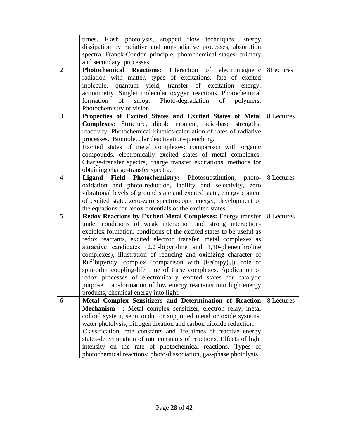|                | times. Flash photolysis, stopped flow techniques. Energy<br>dissipation by radiative and non-radiative processes, absorption                                                                                                                                                                                                                                                                                                                                                                                                                                                                                                                                                                                                               |            |
|----------------|--------------------------------------------------------------------------------------------------------------------------------------------------------------------------------------------------------------------------------------------------------------------------------------------------------------------------------------------------------------------------------------------------------------------------------------------------------------------------------------------------------------------------------------------------------------------------------------------------------------------------------------------------------------------------------------------------------------------------------------------|------------|
|                | spectra, Franck-Condon principle, photochemical stages- primary<br>and secondary processes.                                                                                                                                                                                                                                                                                                                                                                                                                                                                                                                                                                                                                                                |            |
| $\overline{2}$ | Photochemical Reactions: Interaction of electromagnetic<br>radiation with matter, types of excitations, fate of excited<br>molecule, quantum yield, transfer of excitation energy,<br>actinometry. Singlet molecular oxygen reactions. Photochemical                                                                                                                                                                                                                                                                                                                                                                                                                                                                                       | 8Lectures  |
|                | smog. Photo-degradation<br>formation<br>of<br>of<br>polymers.<br>Photochemistry of vision.                                                                                                                                                                                                                                                                                                                                                                                                                                                                                                                                                                                                                                                 |            |
| 3              | Properties of Excited States and Excited States of Metal                                                                                                                                                                                                                                                                                                                                                                                                                                                                                                                                                                                                                                                                                   | 8 Lectures |
|                | <b>Complexes:</b> Structure, dipole moment, acid-base strengths,<br>reactivity. Photochemical kinetics-calculation of rates of radiative<br>processes. Biomolecular deactivation-quenching.<br>Excited states of metal complexes: comparison with organic<br>compounds, electronically excited states of metal complexes.<br>Charge-transfer spectra, charge transfer excitations, methods for<br>obtaining charge-transfer spectra.                                                                                                                                                                                                                                                                                                       |            |
| $\overline{4}$ | <b>Field Photochemistry:</b> Photosubstitution, photo- 8 Lectures<br>Ligand<br>oxidation and photo-reduction, lability and selectivity, zero<br>vibrational levels of ground state and excited state, energy content<br>of excited state, zero-zero spectroscopic energy, development of<br>the equations for redox potentials of the excited states.                                                                                                                                                                                                                                                                                                                                                                                      |            |
| 5              | <b>Redox Reactions by Excited Metal Complexes:</b> Energy transfer<br>under conditions of weak interaction and strong interaction-<br>exciplex formation, conditions of the excited states to be useful as<br>redox reactants, excited electron transfer, metal complexes as<br>attractive candidates (2,2'-bipyridine and 1,10-phenenthroline<br>complexes), illustration of reducing and oxidizing character of<br>$Ru^{2+}$ bipyridyl complex (comparison with [Fe(bipy)3]); role of<br>spin-orbit coupling-life time of these complexes. Application of<br>redox processes of electronically excited states for catalytic<br>purpose, transformation of low energy reactants into high energy<br>products, chemical energy into light. | 8 Lectures |
| 6              | Metal Complex Sensitizers and Determination of Reaction<br>Mechanism : Metal complex sensitizer, electron relay, metal<br>colloid system, semiconductor supported metal or oxide systems,<br>water photolysis, nitrogen fixation and carbon dioxide reduction.<br>Classification, rate constants and life times of reactive energy<br>states-determination of rate constants of reactions. Effects of light<br>intensity on the rate of photochemical reactions. Types of<br>photochemical reactions; photo-dissociation, gas-phase photolysis.                                                                                                                                                                                            | 8 Lectures |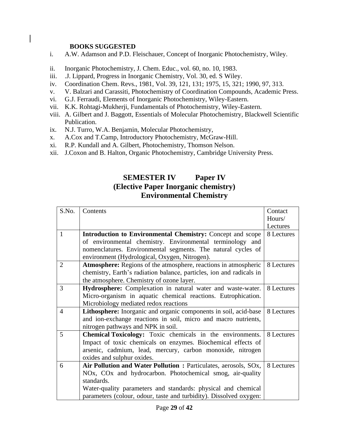#### **BOOKS SUGGESTED**

- i. A.W. Adamson and P.D. Fleischauer, Concept of Inorganic Photochemistry, Wiley.
- ii. Inorganic Photochemistry, J. Chem. Educ., vol. 60, no. 10, 1983.
- iii. .J. Lippard, Progress in Inorganic Chemistry, Vol. 30, ed. S Wiley.
- iv. Coordination Chem. Revs., 1981, Vol. 39, 121, 131; 1975, 15, 321; 1990, 97, 313.
- v. V. Balzari and Carassiti, Photochemistry of Coordination Compounds, Academic Press.
- vi. G.J. Ferraudi, Elements of Inorganic Photochemistry, Wiley-Eastern.
- vii. K.K. Rohtagi-Mukherji, Fundamentals of Photochemistry, Wiley-Eastern.
- viii. A. Gilbert and J. Baggott, Essentials of Molecular Photochemistry, Blackwell Scientific Publication.
- ix. N.J. Turro, W.A. Benjamin, Molecular Photochemistry,
- x. A.Cox and T.Camp, Introductory Photochemistry, McGraw-Hill.
- xi. R.P. Kundall and A. Gilbert, Photochemistry, Thomson Nelson.
- xii. J.Coxon and B. Halton, Organic Photochemistry, Cambridge University Press.

## **SEMESTER IV Paper IV (Elective Paper Inorganic chemistry) Environmental Chemistry**

| S.No.          | Contents                                                             | Contact    |
|----------------|----------------------------------------------------------------------|------------|
|                |                                                                      | Hours/     |
|                |                                                                      | Lectures   |
| $\mathbf{1}$   | <b>Introduction to Environmental Chemistry:</b> Concept and scope    | 8 Lectures |
|                | of environmental chemistry. Environmental terminology and            |            |
|                | nomenclatures. Environmental segments. The natural cycles of         |            |
|                | environment (Hydrological, Oxygen, Nitrogen).                        |            |
| $\overline{2}$ | Atmosphere: Regions of the atmosphere, reactions in atmospheric      | 8 Lectures |
|                | chemistry, Earth's radiation balance, particles, ion and radicals in |            |
|                | the atmosphere. Chemistry of ozone layer.                            |            |
| 3              | Hydrosphere: Complexation in natural water and waste-water.          | 8 Lectures |
|                | Micro-organism in aquatic chemical reactions. Eutrophication.        |            |
|                | Microbiology mediated redox reactions                                |            |
| $\overline{4}$ | Lithosphere: Inorganic and organic components in soil, acid-base     | 8 Lectures |
|                | and ion-exchange reactions in soil, micro and macro nutrients,       |            |
|                | nitrogen pathways and NPK in soil.                                   |            |
| 5              | <b>Chemical Toxicology:</b> Toxic chemicals in the environments.     | 8 Lectures |
|                | Impact of toxic chemicals on enzymes. Biochemical effects of         |            |
|                | arsenic, cadmium, lead, mercury, carbon monoxide, nitrogen           |            |
|                | oxides and sulphur oxides.                                           |            |
| 6              | Air Pollution and Water Pollution: Particulates, aerosols, SOx,      | 8 Lectures |
|                | NOx, COx and hydrocarbon. Photochemical smog, air-quality            |            |
|                | standards.                                                           |            |
|                | Water-quality parameters and standards: physical and chemical        |            |
|                | parameters (colour, odour, taste and turbidity). Dissolved oxygen:   |            |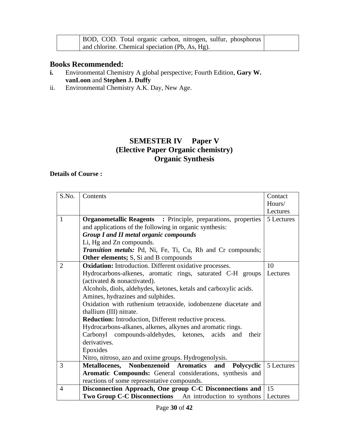|  | BOD, COD. Total organic carbon, nitrogen, sulfur, phosphorus |
|--|--------------------------------------------------------------|
|  | and chlorine. Chemical speciation (Pb, As, Hg).              |

## **Books Recommended:**

- **i.** Environmental Chemistry A global perspective; Fourth Edition, **Gary W. vanLoon** and **Stephen J. Duffy**
- ii. Environmental Chemistry A.K. Day, New Age.

## **SEMESTER IV Paper V (Elective Paper Organic chemistry) Organic Synthesis**

| S.No.          | Contents                                                             | Contact    |
|----------------|----------------------------------------------------------------------|------------|
|                |                                                                      | Hours/     |
|                |                                                                      | Lectures   |
| $\mathbf{1}$   | <b>Organometallic Reagents</b> : Principle, preparations, properties | 5 Lectures |
|                | and applications of the following in organic synthesis:              |            |
|                | <b>Group I and II metal organic compounds</b>                        |            |
|                | Li, Hg and Zn compounds.                                             |            |
|                | Transition metals: Pd, Ni, Fe, Ti, Cu, Rh and Cr compounds;          |            |
|                | <b>Other elements;</b> S, Si and B compounds                         |            |
| 2              | <b>Oxidation:</b> Introduction. Different oxidative processes.       | 10         |
|                | Hydrocarbons-alkenes, aromatic rings, saturated C-H groups           | Lectures   |
|                | (activated & nonactivated).                                          |            |
|                | Alcohols, diols, aldehydes, ketones, ketals and carboxylic acids.    |            |
|                | Amines, hydrazines and sulphides.                                    |            |
|                | Oxidation with ruthenium tetraoxide, iodobenzene diacetate and       |            |
|                | thallium (III) nitrate.                                              |            |
|                | <b>Reduction:</b> Introduction, Different reductive process.         |            |
|                | Hydrocarbons-alkanes, alkenes, alkynes and aromatic rings.           |            |
|                | Carbonyl compounds-aldehydes, ketones, acids<br>and<br>their         |            |
|                | derivatives.                                                         |            |
|                | Epoxides                                                             |            |
|                | Nitro, nitroso, azo and oxime groups. Hydrogenolysis.                |            |
| 3              | Metallocenes, Nonbenzenoid Aromatics<br>and<br>Polycyclic            | 5 Lectures |
|                | Aromatic Compounds: General considerations, synthesis and            |            |
|                | reactions of some representative compounds.                          |            |
| $\overline{4}$ | Disconnection Approach, One group C-C Disconnections and             | 15         |
|                | <b>Two Group C-C Disconnections</b> An introduction to synthons      | Lectures   |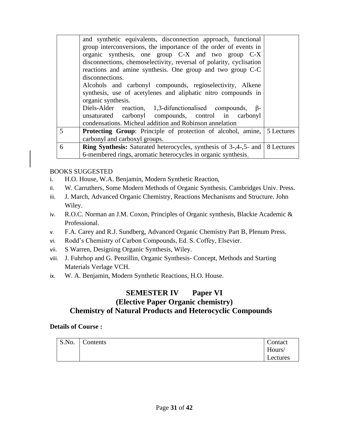|                | and synthetic equivalents, disconnection approach, functional<br>group interconversions, the importance of the order of events in<br>organic synthesis, one group C-X and two group C-X<br>disconnections, chemoselectivity, reversal of polarity, cyclisation<br>reactions and amine synthesis. One group and two group C-C<br>disconnections.<br>Alcohols and carbonyl compounds, regioselectivity, Alkene<br>synthesis, use of acetylenes and aliphatic nitro compounds in |  |
|----------------|-------------------------------------------------------------------------------------------------------------------------------------------------------------------------------------------------------------------------------------------------------------------------------------------------------------------------------------------------------------------------------------------------------------------------------------------------------------------------------|--|
|                | organic synthesis.<br>Diels-Alder reaction, 1,3-difunctionalised compounds,<br>$\beta$ -<br>unsaturated carbonyl compounds, control in carbonyl                                                                                                                                                                                                                                                                                                                               |  |
|                | condensations. Micheal addition and Robinson annelation                                                                                                                                                                                                                                                                                                                                                                                                                       |  |
| $\overline{5}$ | <b>Protecting Group:</b> Principle of protection of alcohol, amine, 5 Lectures                                                                                                                                                                                                                                                                                                                                                                                                |  |
|                | carbonyl and carboxyl groups.                                                                                                                                                                                                                                                                                                                                                                                                                                                 |  |
| 6              | <b>Ring Synthesis:</b> Saturated heterocycles, synthesis of $3-4-5$ and 8 Lectures                                                                                                                                                                                                                                                                                                                                                                                            |  |
|                | 6-membered rings, aromatic heterocycles in organic synthesis.                                                                                                                                                                                                                                                                                                                                                                                                                 |  |

## BOOKS SUGGESTED

- i. H.O. House, W.A. Benjamin, Modern Synthetic Reaction,
- ii. W. Carruthers, Some Modern Methods of Organic Synthesis. Cambridges Univ. Press.
- iii. J. March, Advanced Organic Chemistry, Reactions Mechanisms and Structure. John Wiley.
- iv. R.O.C. Norman an J.M. Coxon, Principles of Organic synthesis, Blackie Academic & Professional.
- v. F.A. Carey and R.J. Sundberg, Advanced Organic Chemistry Part B, Plenum Press.
- vi. Rodd's Chemistry of Carbon Compounds, Ed. S. Coffey, Elsevier.
- vii. S Warren, Designing Organic Synthesis, Wiley.
- viii. J. Fuhrhop and G. Penzillin, Organic Synthesis- Concept, Methods and Starting Materials Verlage VCH.
- ix. W. A. Benjamin, Modern Synthetic Reactions, H.O. House.

## **SEMESTER IV Paper VI (Elective Paper Organic chemistry) Chemistry of Natural Products and Heterocyclic Compounds**

| S.No. | $\sim$<br>Contents | Contact  |
|-------|--------------------|----------|
|       |                    | Hours/   |
|       |                    | Lectures |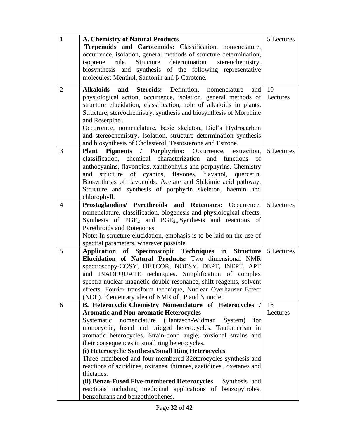| $\mathbf{1}$   | <b>A. Chemistry of Natural Products</b>                                                                      | 5 Lectures |
|----------------|--------------------------------------------------------------------------------------------------------------|------------|
|                | Terpenoids and Carotenoids: Classification, nomenclature,                                                    |            |
|                | occurrence, isolation, general methods of structure determination,                                           |            |
|                | isoprene<br>Structure determination,<br>rule.<br>stereochemistry,                                            |            |
|                | biosynthesis and synthesis of the following representative                                                   |            |
|                | molecules: Menthol, Santonin and $\beta$ -Carotene.                                                          |            |
| $\overline{2}$ | <b>Steroids:</b> Definition,<br><b>Alkaloids</b><br>and<br>nomenclature<br>and                               | 10         |
|                | physiological action, occurrence, isolation, general methods of                                              | Lectures   |
|                | structure elucidation, classification, role of alkaloids in plants.                                          |            |
|                | Structure, stereochemistry, synthesis and biosynthesis of Morphine                                           |            |
|                | and Reserpine.                                                                                               |            |
|                | Occurrence, nomenclature, basic skeleton, Diel's Hydrocarbon                                                 |            |
|                | and stereochemistry. Isolation, structure determination synthesis                                            |            |
|                | and biosynthesis of Cholesterol, Testosterone and Estrone.                                                   |            |
| 3              | <b>Pigments / Porphyrins:</b><br>Occurrence,<br>extraction,<br><b>Plant</b>                                  | 5 Lectures |
|                | classification, chemical characterization and functions<br>of                                                |            |
|                | anthocyanins, flavonoids, xanthophylls and porphyrins. Chemistry                                             |            |
|                | cyanins, flavones, flavanol, quercetin.<br>and<br>structure<br>of                                            |            |
|                | Biosynthesis of flavonoids: Acetate and Shikimic acid pathway.                                               |            |
|                | Structure and synthesis of porphyrin skeleton, haemin and                                                    |            |
|                | chlorophyll.                                                                                                 |            |
| $\overline{4}$ | Prostaglandins/ Pyrethroids and Rotenones: Occurrence,                                                       | 5 Lectures |
|                | nomenclature, classification, biogenesis and physiological effects.                                          |            |
|                | Synthesis of $PGE_2$ and $PGE_{2\alpha}$ . Synthesis and reactions of                                        |            |
|                | Pyrethroids and Rotenones.                                                                                   |            |
|                | Note: In structure elucidation, emphasis is to be laid on the use of                                         |            |
|                | spectral parameters, wherever possible.                                                                      |            |
| 5              | Application of Spectroscopic Techniques in Structure                                                         | 5 Lectures |
|                | Elucidation of Natural Products: Two dimensional NMR                                                         |            |
|                | spectroscopy-COSY, HETCOR, NOESY, DEPT, INEPT, APT                                                           |            |
|                | and INADEQUATE techniques. Simplification of complex                                                         |            |
|                | spectra-nuclear magnetic double resonance, shift reagents, solvent                                           |            |
|                | effects. Fourier transform technique, Nuclear Overhauser Effect                                              |            |
| 6              | (NOE). Elementary idea of NMR of, P and N nuclei<br>B. Heterocyclic Chemistry Nomenclature of Heterocycles / | 18         |
|                | <b>Aromatic and Non-aromatic Heterocycles</b>                                                                | Lectures   |
|                | nomenclature (Hantzsch-Widman)<br>Systematic<br>System)<br>for                                               |            |
|                | monocyclic, fused and bridged heterocycles. Tautomerism in                                                   |            |
|                | aromatic heterocycles. Strain-bond angle, torsional strains and                                              |            |
|                | their consequences in small ring heterocycles.                                                               |            |
|                | (i) Heterocyclic Synthesis/Small Ring Heterocycles                                                           |            |
|                | Three membered and four-membered 32eterocycles-synthesis and                                                 |            |
|                | reactions of aziridines, oxiranes, thiranes, azetidines, oxetanes and                                        |            |
|                | thietanes.                                                                                                   |            |
|                | (ii) Benzo-Fused Five-membered Heterocycles<br>Synthesis and                                                 |            |
|                | reactions including medicinal applications of benzopyrroles,                                                 |            |
|                | benzofurans and benzothiophenes.                                                                             |            |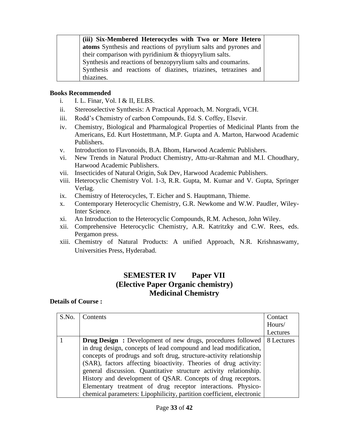**(iii) Six-Membered Heterocycles with Two or More Hetero atoms** Synthesis and reactions of pyrylium salts and pyrones and their comparison with pyridinium & thiopyrylium salts. Synthesis and reactions of benzopyrylium salts and coumarins. Synthesis and reactions of diazines, triazines, tetrazines and thiazines.

#### **Books Recommended**

- i. I. L. Finar, Vol. I & II, ELBS.
- ii. Stereoselective Synthesis: A Practical Approach, M. Norgradi, VCH.
- iii. Rodd's Chemistry of carbon Compounds, Ed. S. Coffey, Elsevir.
- iv. Chemistry, Biological and Pharmalogical Properties of Medicinal Plants from the Americans, Ed. Kurt Hostettmann, M.P. Gupta and A. Marton, Harwood Academic Publishers.
- v. Introduction to Flavonoids, B.A. Bhom, Harwood Academic Publishers.
- vi. New Trends in Natural Product Chemistry, Attu-ur-Rahman and M.I. Choudhary, Harwood Academic Publishers.
- vii. Insecticides of Natural Origin, Suk Dev, Harwood Academic Publishers.
- viii. Heterocyclic Chemistry Vol. 1-3, R.R. Gupta, M. Kumar and V. Gupta, Springer Verlag.
- ix. Chemistry of Heterocycles, T. Eicher and S. Hauptmann, Thieme.
- x. Contemporary Heterocyclic Chemistry, G.R. Newkome and W.W. Paudler, Wiley-Inter Science.
- xi. An Introduction to the Heterocyclic Compounds, R.M. Acheson, John Wiley.
- xii. Comprehensive Heterocyclic Chemistry, A.R. Katritzky and C.W. Rees, eds. Pergamon press.
- xiii. Chemistry of Natural Products: A unified Approach, N.R. Krishnaswamy, Universities Press, Hyderabad.

## **SEMESTER IV Paper VII (Elective Paper Organic chemistry) Medicinal Chemistry**

| S.No. | Contents                                                                     | Contact  |
|-------|------------------------------------------------------------------------------|----------|
|       |                                                                              | Hours/   |
|       |                                                                              | Lectures |
|       | <b>Drug Design:</b> Development of new drugs, procedures followed 8 Lectures |          |
|       | in drug design, concepts of lead compound and lead modification,             |          |
|       | concepts of prodrugs and soft drug, structure-activity relationship          |          |
|       | (SAR), factors affecting bioactivity. Theories of drug activity:             |          |
|       | general discussion. Quantitative structure activity relationship.            |          |
|       | History and development of QSAR. Concepts of drug receptors.                 |          |
|       | Elementary treatment of drug receptor interactions. Physico-                 |          |
|       | chemical parameters: Lipophilicity, partition coefficient, electronic        |          |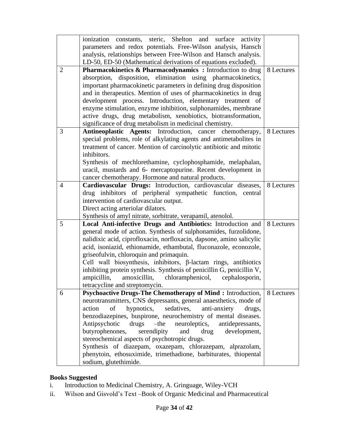|                | ionization constants, steric, Shelton and surface activity                                                                            |            |
|----------------|---------------------------------------------------------------------------------------------------------------------------------------|------------|
|                | parameters and redox potentials. Free-Wilson analysis, Hansch                                                                         |            |
|                | analysis, relationships between Free-Wilson and Hansch analysis.                                                                      |            |
|                | LD-50, ED-50 (Mathematical derivations of equations excluded).                                                                        |            |
| $\overline{2}$ | <b>Pharmacokinetics &amp; Pharmacodynamics :</b> Introduction to drug<br>absorption, disposition, elimination using pharmacokinetics, | 8 Lectures |
|                | important pharmacokinetic parameters in defining drug disposition                                                                     |            |
|                |                                                                                                                                       |            |
|                | and in therapeutics. Mention of uses of pharmacokinetics in drug<br>development process. Introduction, elementary treatment of        |            |
|                | enzyme stimulation, enzyme inhibition, sulphonamides, membrane                                                                        |            |
|                | active drugs, drug metabolism, xenobiotics, biotransformation,                                                                        |            |
|                | significance of drug metabolism in medicinal chemistry.                                                                               |            |
| 3              | Antineoplastic Agents: Introduction, cancer chemotherapy,                                                                             | 8 Lectures |
|                | special problems, role of alkylating agents and antimetabolites in                                                                    |            |
|                | treatment of cancer. Mention of carcinolytic antibiotic and mitotic                                                                   |            |
|                | inhibitors.                                                                                                                           |            |
|                | Synthesis of mechlorethamine, cyclophosphamide, melaphalan,                                                                           |            |
|                | uracil, mustards and 6- mercaptopurine. Recent development in                                                                         |            |
|                | cancer chemotherapy. Hormone and natural products.                                                                                    |            |
| $\overline{4}$ | Cardiovascular Drugs: Introduction, cardiovascular diseases,                                                                          | 8 Lectures |
|                | drug inhibitors of peripheral sympathetic function, central                                                                           |            |
|                | intervention of cardiovascular output.                                                                                                |            |
|                | Direct acting arteriolar dilators.                                                                                                    |            |
|                | Synthesis of amyl nitrate, sorbitrate, verapamil, atenolol.                                                                           |            |
| 5              | Local Anti-infective Drugs and Antibiotics: Introduction and                                                                          | 8 Lectures |
|                | general mode of action. Synthesis of sulphonamides, furzolidone,                                                                      |            |
|                | nalidixic acid, ciprofloxacin, norfloxacin, dapsone, amino salicylic                                                                  |            |
|                | acid, isoniazid, ethionamide, ethambutal, fluconazole, econozole,                                                                     |            |
|                | griseofulvin, chloroquin and primaquin.                                                                                               |            |
|                | Cell wall biosynthesis, inhibitors, $\beta$ -lactam rings, antibiotics                                                                |            |
|                | inhibiting protein synthesis. Synthesis of penicillin G, penicillin V,                                                                |            |
|                | ampicillin,<br>amoxicillin, chloramphenicol,<br>cephalosporin,                                                                        |            |
|                | tetracycline and streptomycin.                                                                                                        |            |
| 6              | <b>Psychoactive Drugs-The Chemotherapy of Mind:</b> Introduction,                                                                     | 8 Lectures |
|                | neurotransmitters, CNS depressants, general anaesthetics, mode of                                                                     |            |
|                | of<br>hypnotics,<br>sedatives,<br>anti-anxiety<br>action<br>drugs,                                                                    |            |
|                | benzodiazepines, buspirone, neurochemistry of mental diseases.                                                                        |            |
|                | $-th$ e<br>Antipsychotic<br>drugs<br>neuroleptics,<br>antidepressants,                                                                |            |
|                | serendipity<br>development,<br>butyrophenones,<br>and<br>drug                                                                         |            |
|                | stereochemical aspects of psychotropic drugs.                                                                                         |            |
|                | Synthesis of diazepam, oxazepam, chlorazepam, alprazolam,                                                                             |            |
|                | phenytoin, ethosuximide, trimethadione, barbiturates, thiopental                                                                      |            |
|                | sodium, glutethimide.                                                                                                                 |            |

## **Books Suggested**

- i. Introduction to Medicinal Chemistry, A. Gringuage, Wiley-VCH
- ii. Wilson and Gisvold's Text –Book of Organic Medicinal and Pharmaceutical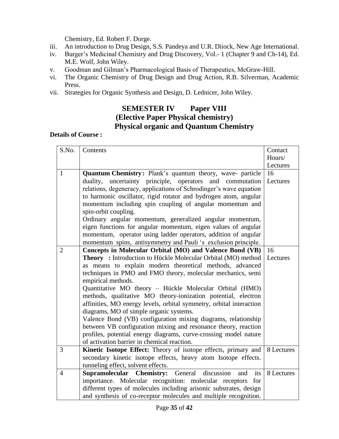Chemistry, Ed. Robert F. Dorge.

- iii. An introduction to Drug Design, S.S. Pandeya and U.R. Diiock, New Age International.
- iv. Burger's Medicinal Chemistry and Drug Discovery, Vol.- 1 (Chapter 9 and Ch-14), Ed. M.E. Wolf, John Wiley.
- v. Goodman and Gilman's Pharmacological Basis of Therapeutics, McGraw-Hill.
- vi. The Organic Chemistry of Drug Design and Drug Action, R.B. Silverman, Academic Press.
- vii. Strategies for Organic Synthesis and Design, D. Lednicer, John Wiley.

## **SEMESTER IV Paper VIII (Elective Paper Physical chemistry) Physical organic and Quantum Chemistry**

| S.No.          | Contents                                                             | Contact    |
|----------------|----------------------------------------------------------------------|------------|
|                |                                                                      | Hours/     |
|                |                                                                      | Lectures   |
| $\mathbf{1}$   | Quantum Chemistry: Plank's quantum theory, wave- particle            | 16         |
|                | duality, uncertainty principle, operators and commutation            | Lectures   |
|                | relations, degeneracy, applications of Schrodinger's wave equation   |            |
|                | to harmonic oscillator, rigid rotator and hydrogen atom, angular     |            |
|                | momentum including spin coupling of angular momentum and             |            |
|                | spin-orbit coupling.                                                 |            |
|                | Ordinary angular momentum, generalized angular momentum,             |            |
|                | eigen functions for angular momentum, eigen values of angular        |            |
|                | momentum, operator using ladder operators, addition of angular       |            |
|                | momentum spins, antisymmetry and Pauli 's exclusion principle.       |            |
| $\overline{2}$ | Concepts in Molecular Orbital (MO) and Valence Bond (VB)             | 16         |
|                | <b>Theory</b> : Introduction to Hückle Molecular Orbital (MO) method | Lectures   |
|                | as means to explain modern theoretical methods, advanced             |            |
|                | techniques in PMO and FMO theory, molecular mechanics, semi          |            |
|                | empirical methods.                                                   |            |
|                | Quantitative MO theory - Hückle Molecular Orbital (HMO)              |            |
|                | methods, qualitative MO theory-ionization potential, electron        |            |
|                | affinities, MO energy levels, orbital symmetry, orbital interaction  |            |
|                | diagrams, MO of simple organic systems.                              |            |
|                | Valence Bond (VB) configuration mixing diagrams, relationship        |            |
|                | between VB configuration mixing and resonance theory, reaction       |            |
|                | profiles, potential energy diagrams, curve-crossing model nature     |            |
|                | of activation barrier in chemical reaction.                          |            |
| 3              | Kinetic Isotope Effect: Theory of isotope effects, primary and       | 8 Lectures |
|                | secondary kinetic isotope effects, heavy atom Isotope effects.       |            |
|                | tunneling effect, solvent effects.                                   |            |
| $\overline{4}$ | Supramolecular Chemistry: General<br>discussion<br>its<br>and        | 8 Lectures |
|                | importance. Molecular recognition: molecular receptors<br>for        |            |
|                | different types of molecules including arisonic substrates, design   |            |
|                | and synthesis of co-receptor molecules and multiple recognition.     |            |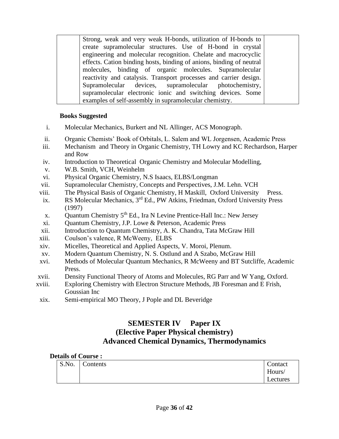Strong, weak and very weak H-bonds, utilization of H-bonds to create supramolecular structures. Use of H-bond in crystal engineering and molecular recognition. Chelate and macrocyclic effects. Cation binding hosts, binding of anions, binding of neutral molecules, binding of organic molecules. Supramolecular reactivity and catalysis. Transport processes and carrier design. Supramolecular devices, supramolecular photochemistry, supramolecular electronic ionic and switching devices. Some examples of self-assembly in supramolecular chemistry.

## **Books Suggested**

- i. Molecular Mechanics, Burkert and NL Allinger, ACS Monograph.
- ii. Organic Chemists' Book of Orbitals, L. Salem and WL Jorgensen, Academic Press
- iii. Mechanism and Theory in Organic Chemistry, TH Lowry and KC Rechardson, Harper and Row
- iv. Introduction to Theoretical Organic Chemistry and Molecular Modelling,
- v. W.B. Smith, VCH, Weinhelm
- vi. Physical Organic Chemistry, N.S Isaacs, ELBS/Longman
- vii. Supramolecular Chemistry, Concepts and Perspectives, J.M. Lehn. VCH
- viii. The Physical Basis of Organic Chemistry, H Maskill, Oxford University Press.
- ix. RS Molecular Mechanics, 3<sup>rd</sup> Ed., PW Atkins, Friedman, Oxford University Press (1997)
- x. Quantum Chemistry 5th Ed., Ira N Levine Prentice-Hall Inc.: New Jersey
- xi. Quantum Chemistry, J.P. Lowe & Peterson, Academic Press
- xii. Introduction to Quantum Chemistry, A. K. Chandra, Tata McGraw Hill
- xiii. Coulson's valence, R McWeeny, ELBS
- xiv. Micelles, Theoretical and Applied Aspects, V. Moroi, Plenum.
- xv. Modern Quantum Chemistry, N. S. Ostlund and A Szabo, McGraw Hill
- xvi. Methods of Molecular Quantum Mechanics, R McWeeny and BT Sutcliffe, Academic Press.
- xvii. Density Functional Theory of Atoms and Molecules, RG Parr and W Yang, Oxford.
- xviii. Exploring Chemistry with Electron Structure Methods, JB Foresman and E Frish, Goussian Inc
- xix. Semi-empirical MO Theory, J Pople and DL Beveridge

## **SEMESTER IV Paper IX (Elective Paper Physical chemistry) Advanced Chemical Dynamics, Thermodynamics**

| S.No. | ⌒<br>`ontents | Contact  |
|-------|---------------|----------|
|       |               | Hours/   |
|       |               | Lectures |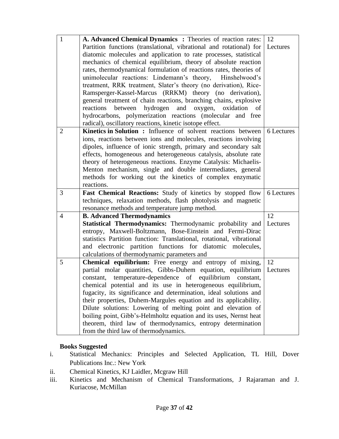| $\mathbf{1}$   | A. Advanced Chemical Dynamics: Theories of reaction rates:   12                                      |            |
|----------------|------------------------------------------------------------------------------------------------------|------------|
|                | Partition functions (translational, vibrational and rotational) for                                  | Lectures   |
|                | diatomic molecules and application to rate processes, statistical                                    |            |
|                | mechanics of chemical equilibrium, theory of absolute reaction                                       |            |
|                | rates, thermodynamical formulation of reactions rates, theories of                                   |            |
|                | unimolecular reactions: Lindemann's theory,<br>Hinshelwood's                                         |            |
|                | treatment, RRK treatment, Slater's theory (no derivation), Rice-                                     |            |
|                | Ramsperger-Kassel-Marcus (RRKM) theory (no derivation),                                              |            |
|                | general treatment of chain reactions, branching chains, explosive                                    |            |
|                | hydrogen<br>and<br>oxygen,<br>reactions<br>between<br>oxidation<br>of                                |            |
|                | hydrocarbons, polymerization reactions (molecular and free                                           |            |
|                | radical), oscillatory reactions, kinetic isotope effect.                                             |            |
| 2              | <b>Kinetics in Solution :</b> Influence of solvent reactions between                                 | 6 Lectures |
|                | ions, reactions between ions and molecules, reactions involving                                      |            |
|                | dipoles, influence of ionic strength, primary and secondary salt                                     |            |
|                | effects, homogeneous and heterogeneous catalysis, absolute rate                                      |            |
|                | theory of heterogeneous reactions. Enzyme Catalysis: Michaelis-                                      |            |
|                | Menton mechanism, single and double intermediates, general                                           |            |
|                | methods for working out the kinetics of complex enzymatic                                            |            |
|                | reactions.                                                                                           |            |
| 3              | Fast Chemical Reactions: Study of kinetics by stopped flow                                           | 6 Lectures |
|                | techniques, relaxation methods, flash photolysis and magnetic                                        |            |
|                | resonance methods and temperature jump method.                                                       |            |
| $\overline{4}$ | <b>B.</b> Advanced Thermodynamics                                                                    | 12         |
|                |                                                                                                      |            |
|                | Statistical Thermodynamics: Thermodynamic probability and                                            | Lectures   |
|                | entropy, Maxwell-Boltzmann, Bose-Einstein and Fermi-Dirac                                            |            |
|                | statistics Partition function: Translational, rotational, vibrational                                |            |
|                | and electronic partition functions for diatomic molecules,                                           |            |
|                | calculations of thermodynamic parameters and                                                         |            |
| 5              | Chemical equilibrium: Free energy and entropy of mixing,                                             | 12         |
|                | partial molar quantities, Gibbs-Duhem equation, equilibrium                                          | Lectures   |
|                | temperature-dependence of equilibrium constant,<br>constant,                                         |            |
|                | chemical potential and its use in heterogeneous equilibrium,                                         |            |
|                | fugacity, its significance and determination, ideal solutions and                                    |            |
|                | their properties, Duhem-Margules equation and its applicability.                                     |            |
|                | Dilute solutions: Lowering of melting point and elevation of                                         |            |
|                | boiling point, Gibb's-Helmholtz equation and its uses, Nernst heat                                   |            |
|                | theorem, third law of thermodynamics, entropy determination<br>from the third law of thermodynamics. |            |

## **Books Suggested**

- i. Statistical Mechanics: Principles and Selected Application, TL Hill, Dover Publications Inc.: New York
- ii. Chemical Kinetics, KJ Laidler, Mcgraw Hill
- iii. Kinetics and Mechanism of Chemical Transformations, J Rajaraman and J. Kuriacose, McMillan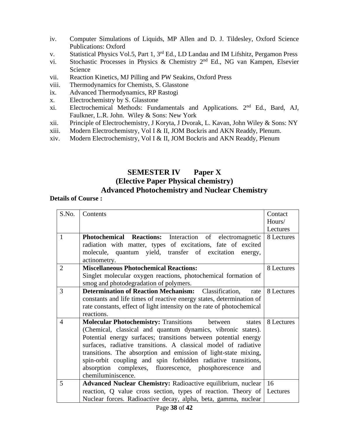- iv. Computer Simulations of Liquids, MP Allen and D. J. Tildesley, Oxford Science Publications: Oxford
- v. Statistical Physics Vol.5, Part 1, 3<sup>rd</sup> Ed., LD Landau and IM Lifshitz, Pergamon Press
- vi. Stochastic Processes in Physics & Chemistry  $2<sup>nd</sup>$  Ed., NG van Kampen, Elsevier Science
- vii. Reaction Kinetics, MJ Pilling and PW Seakins, Oxford Press
- viii. Thermodynamics for Chemists, S. Glasstone
- ix. Advanced Thermodynamics, RP Rastogi
- x. Electrochemistry by S. Glasstone
- xi. Electrochemical Methods: Fundamentals and Applications. 2nd Ed., Bard, AJ, Faulkner, L.R. John. Wiley & Sons: New York
- xii. Principle of Electrochemistry, J Koryta, J Dvorak, L. Kavan, John Wiley & Sons: NY
- xiii. Modern Electrochemistry, Vol I & II, JOM Bockris and AKN Readdy, Plenum.
- xiv. Modern Electrochemistry, Vol I & II, JOM Bockris and AKN Readdy, Plenum

## **SEMESTER IV Paper X (Elective Paper Physical chemistry) Advanced Photochemistry and Nuclear Chemistry**

| S.No.          | Contents                                                               | Contact    |
|----------------|------------------------------------------------------------------------|------------|
|                |                                                                        | Hours/     |
|                |                                                                        | Lectures   |
| 1              | Photochemical Reactions: Interaction of electromagnetic                | 8 Lectures |
|                | radiation with matter, types of excitations, fate of excited           |            |
|                | molecule, quantum yield, transfer of excitation<br>energy,             |            |
|                | actinometry.                                                           |            |
| $\overline{2}$ | <b>Miscellaneous Photochemical Reactions:</b>                          | 8 Lectures |
|                | Singlet molecular oxygen reactions, photochemical formation of         |            |
|                | smog and photodegradation of polymers.                                 |            |
| 3              | <b>Determination of Reaction Mechanism:</b> Classification,<br>rate    | 8 Lectures |
|                | constants and life times of reactive energy states, determination of   |            |
|                | rate constants, effect of light intensity on the rate of photochemical |            |
|                | reactions.                                                             |            |
| $\overline{4}$ | <b>Molecular Photochemistry:</b> Transitions between<br>states         | 8 Lectures |
|                | (Chemical, classical and quantum dynamics, vibronic states).           |            |
|                | Potential energy surfaces; transitions between potential energy        |            |
|                | surfaces, radiative transitions. A classical model of radiative        |            |
|                | transitions. The absorption and emission of light-state mixing,        |            |
|                | spin-orbit coupling and spin forbidden radiative transitions,          |            |
|                | absorption complexes, fluorescence, phosphorescence<br>and             |            |
|                | chemiluminiscence.                                                     |            |
| 5              | Advanced Nuclear Chemistry: Radioactive equilibrium, nuclear           | 16         |
|                | reaction, Q value cross section, types of reaction. Theory of          | Lectures   |
|                | Nuclear forces. Radioactive decay, alpha, beta, gamma, nuclear         |            |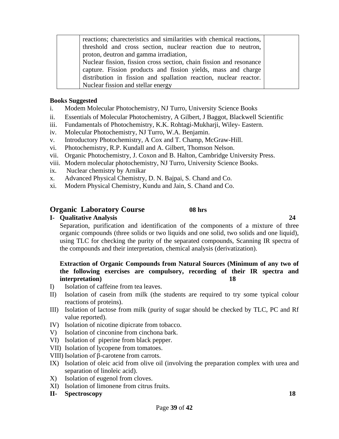| reactions; characteristics and similarities with chemical reactions, |                                                               |
|----------------------------------------------------------------------|---------------------------------------------------------------|
|                                                                      |                                                               |
| proton, deutron and gamma irradiation,                               |                                                               |
| Nuclear fission, fission cross section, chain fission and resonance  |                                                               |
| capture. Fission products and fission yields, mass and charge        |                                                               |
| distribution in fission and spallation reaction, nuclear reactor.    |                                                               |
| Nuclear fission and stellar energy                                   |                                                               |
|                                                                      | threshold and cross section, nuclear reaction due to neutron, |

#### **Books Suggested**

- i. Modem Molecular Photochemistry, NJ Turro, University Science Books
- ii. Essentials of Molecular Photochemistry, A Gilbert, J Baggot, Blackwell Scientific
- iii. Fundamentals of Photochemistry, K.K. Rohtagi-Mukharji, Wiley- Eastern.
- iv. Molecular Photochemistry, NJ Turro, W.A. Benjamin.
- v. Introductory Photochemistry, A Cox and T. Champ, McGraw-Hill.
- vi. Photochemistry, R.P. Kundall and A. Gilbert, Thomson Nelson.
- vii. Organic Photochemistry, J. Coxon and B. Halton, Cambridge University Press.
- viii. Modern molecular photochemistry, NJ Turro, University Science Books.
- ix. Nuclear chemistry by Arnikar
- x. Advanced Physical Chemistry, D. N. Bajpai, S. Chand and Co.
- xi. Modern Physical Chemistry, Kundu and Jain, S. Chand and Co.

## **Organic Laboratory Course 08 hrs**

## **I- Qualitative Analysis 24**

Separation, purification and identification of the components of a mixture of three organic compounds (three solids or two liquids and one solid, two solids and one liquid), using TLC for checking the purity of the separated compounds, Scanning IR spectra of the compounds and their interpretation, chemical analysis (derivatization).

## **Extraction of Organic Compounds from Natural Sources (Minimum of any two of the following exercises are compulsory, recording of their IR spectra and interpretation) 18**

- I) Isolation of caffeine from tea leaves.
- II) Isolation of casein from milk (the students are required to try some typical colour reactions of proteins).
- III) Isolation of lactose from milk (purity of sugar should be checked by TLC, PC and Rf value reported).
- IV) Isolation of nicotine dipicrate from tobacco.
- V) Isolation of cinconine from cinchona bark.
- VI) Isolation of piperine from black pepper.
- VII) Isolation of lycopene from tomatoes.
- VIII) Isolation of β-carotene from carrots.
- IX) Isolation of oleic acid from olive oil (involving the preparation complex with urea and separation of linoleic acid).
- X) Isolation of eugenol from cloves.
- XI) Isolation of limonene from citrus fruits.
- **II- Spectroscopy 18**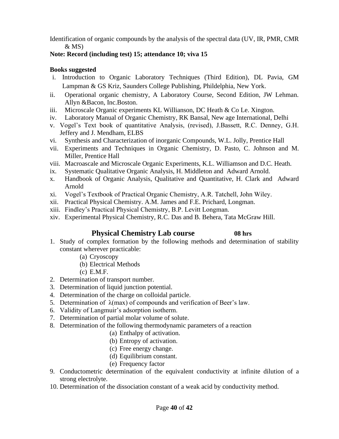Identification of organic compounds by the analysis of the spectral data (UV, IR, PMR, CMR  $&$  MS)

## **Note: Record (including test) 15; attendance 10; viva 15**

## **Books suggested**

- i. Introduction to Organic Laboratory Techniques (Third Edition), DL Pavia, GM Lampman & GS Kriz, Saunders College Publishing, Phildelphia, New York.
- ii. Operational organic chemistry, A Laboratory Course, Second Edition, JW Lehman. Allyn &Bacon, Inc.Boston.
- iii. Microscale Organic experiments KL Willianson, DC Heath & Co Le. Xington.
- iv. Laboratory Manual of Organic Chemistry, RK Bansal, New age International, Delhi
- v. Vogel's Text book of quantitative Analysis, (revised), J.Bassett, R.C. Denney, G.H. Jeffery and J. Mendham, ELBS
- vi. Synthesis and Characterization of inorganic Compounds, W.L. Jolly, Prentice Hall
- vii. Experiments and Techniques in Organic Chemistry, D. Pasto, C. Johnson and M. Miller, Prentice Hall
- viii. Macroascale and Microscale Organic Experiments, K.L. Williamson and D.C. Heath.
- ix. Systematic Qualitative Organic Analysis, H. Middleton and Adward Arnold.
- x. Handbook of Organic Analysis, Qualitative and Quantitative, H. Clark and Adward Arnold
- xi. Vogel's Textbook of Practical Organic Chemistry, A.R. Tatchell, John Wiley.
- xii. Practical Physical Chemistry. A.M. James and F.E. Prichard, Longman.
- xiii. Findley's Practical Physical Chemistry, B.P. Levitt Longman.
- xiv. Experimental Physical Chemistry, R.C. Das and B. Behera, Tata McGraw Hill.

## **Physical Chemistry Lab course 08 hrs**

## 1. Study of complex formation by the following methods and determination of stability constant wherever practicable:

- (a) Cryoscopy
- (b) Electrical Methods
- (c) E.M.F.
- 2. Determination of transport number.
- 3. Determination of liquid junction potential.
- 4. Determination of the charge on colloidal particle.
- 5. Determination of  $\lambda$ (max) of compounds and verification of Beer's law.
- 6. Validity of Langmuir's adsorption isotherm.
- 7. Determination of partial molar volume of solute.
- 8. Determination of the following thermodynamic parameters of a reaction
	- (a) Enthalpy of activation.
	- (b) Entropy of activation.
	- (c) Free energy change.
	- (d) Equilibrium constant.
	- (e) Frequency factor
- 9. Conductometric determination of the equivalent conductivity at infinite dilution of a strong electrolyte.
- 10. Determination of the dissociation constant of a weak acid by conductivity method.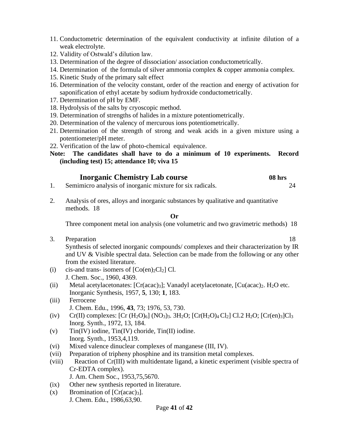- 11. Conductometric determination of the equivalent conductivity at infinite dilution of a weak electrolyte.
- 12. Validity of Ostwald's dilution law.
- 13. Determination of the degree of dissociation/ association conductometrically.
- 14. Determination of the formula of silver ammonia complex & copper ammonia complex.
- 15. Kinetic Study of the primary salt effect
- 16. Determination of the velocity constant, order of the reaction and energy of activation for saponification of ethyl acetate by sodium hydroxide conductometrically.
- 17. Determination of pH by EMF.
- 18. Hydrolysis of the salts by cryoscopic method.
- 19. Determination of strengths of halides in a mixture potentiometrically.
- 20. Determination of the valency of mercurous ions potentiometrically.
- 21. Determination of the strength of strong and weak acids in a given mixture using a potentiometer/pH meter.
- 22. Verification of the law of photo-chemical equivalence.
- **Note: The candidates shall have to do a minimum of 10 experiments. Record (including test) 15; attendance 10; viva 15**

## **Inorganic Chemistry Lab course 08 hrs**

- 1. Semimicro analysis of inorganic mixture for six radicals. 24
- 2. Analysis of ores, alloys and inorganic substances by qualitative and quantitative methods. 18

#### **Or**

Three component metal ion analysis (one volumetric and two gravimetric methods) 18

3. Preparation 18

Synthesis of selected inorganic compounds/ complexes and their characterization by IR and UV & Visible spectral data. Selection can be made from the following or any other from the existed literature.

- (i) cis-and trans- isomers of  $[Co(en)_2Cl_2]$  Cl. J. Chem. Soc., 1960, 4369.
- (ii) Metal acetylacetonates:  $[Cr(\text{acac})_3]$ ; Vanadyl acetylacetonate,  $[Cu(\text{acac})_2]$ . H<sub>2</sub>O etc. Inorganic Synthesis, 1957, **5**, 130; **1**, 183.
- (iii) Ferrocene J. Chem. Edu., 1996, **43**, 73; 1976, 53, 730.
- (iv) Cr(II) complexes:  $[Cr (H_2O)_6] (NO_3)_3$ .  $3H_2O$ ;  $[Cr (H_2O)_4 Cl_2]$  Cl.2  $H_2O$ ;  $[Cr(en)_3]Cl_3$ Inorg. Synth., 1972, 13, 184.
- (v) Tin(IV) iodine, Tin(IV) choride, Tin(II) iodine. Inorg. Synth., 1953,4,119.
- (vi) Mixed valence dinuclear complexes of manganese (III, IV).
- (vii) Preparation of tripheny phosphine and its transition metal complexes.
- (viii) Reaction of Cr(III) with multidentate ligand, a kinetic experiment (visible spectra of Cr-EDTA complex).

J. Am. Chem Soc., 1953,75,5670.

- (ix) Other new synthesis reported in literature.
- $(x)$  Bromination of  $[Cr(\text{ac}a)^3]$ . J. Chem. Edu., 1986,63,90.